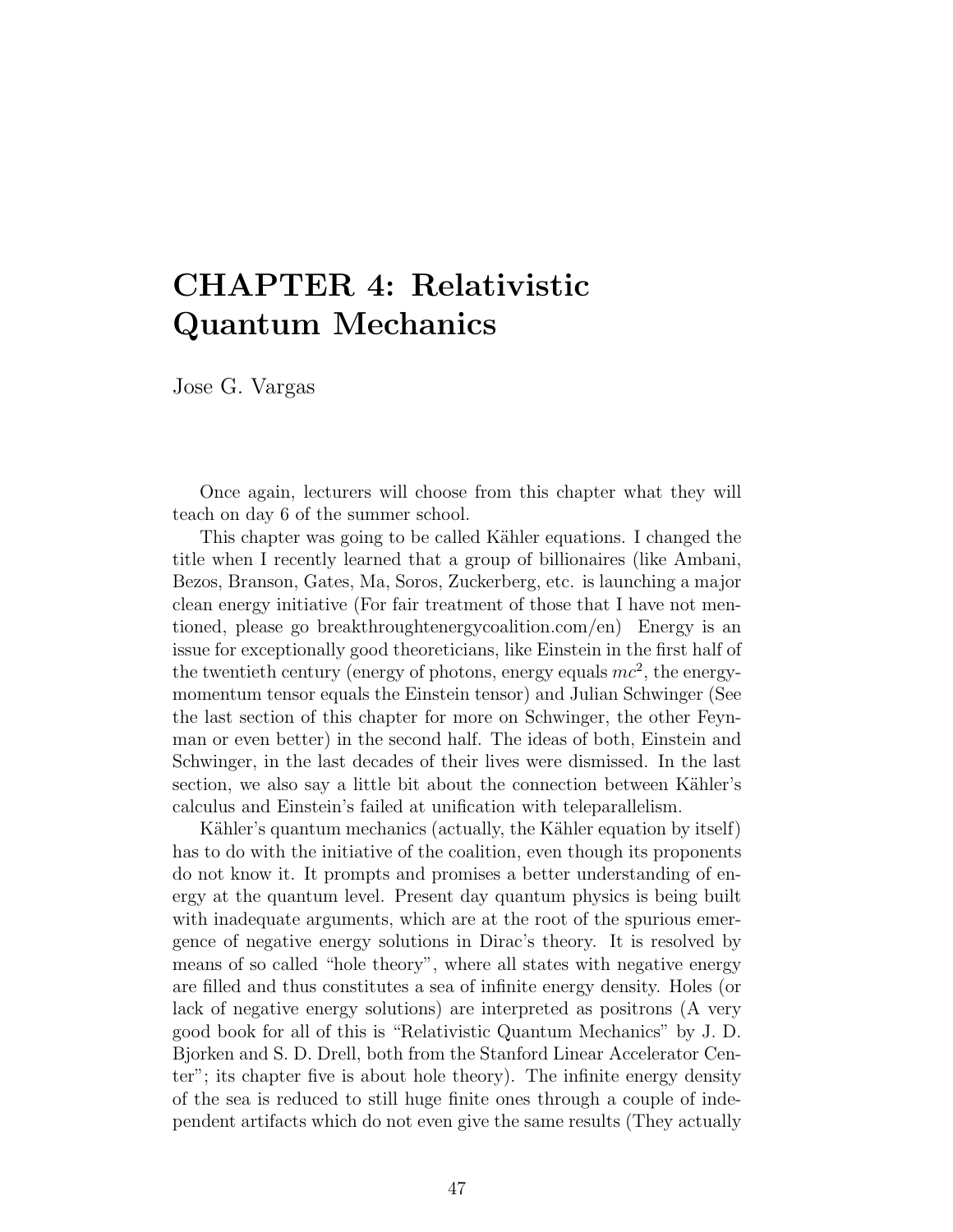# CHAPTER 4: Relativistic Quantum Mechanics

Jose G. Vargas

Once again, lecturers will choose from this chapter what they will teach on day 6 of the summer school.

This chapter was going to be called Kähler equations. I changed the title when I recently learned that a group of billionaires (like Ambani, Bezos, Branson, Gates, Ma, Soros, Zuckerberg, etc. is launching a major clean energy initiative (For fair treatment of those that I have not mentioned, please go breakthroughtenergycoalition.com/en) Energy is an issue for exceptionally good theoreticians, like Einstein in the first half of the twentieth century (energy of photons, energy equals  $mc^2$ , the energymomentum tensor equals the Einstein tensor) and Julian Schwinger (See the last section of this chapter for more on Schwinger, the other Feynman or even better) in the second half. The ideas of both, Einstein and Schwinger, in the last decades of their lives were dismissed. In the last section, we also say a little bit about the connection between Kähler's calculus and Einstein's failed at unification with teleparallelism.

Kähler's quantum mechanics (actually, the Kähler equation by itself) has to do with the initiative of the coalition, even though its proponents do not know it. It prompts and promises a better understanding of energy at the quantum level. Present day quantum physics is being built with inadequate arguments, which are at the root of the spurious emergence of negative energy solutions in Dirac's theory. It is resolved by means of so called "hole theory", where all states with negative energy are filled and thus constitutes a sea of infinite energy density. Holes (or lack of negative energy solutions) are interpreted as positrons (A very good book for all of this is "Relativistic Quantum Mechanics" by J. D. Bjorken and S. D. Drell, both from the Stanford Linear Accelerator Center"; its chapter five is about hole theory). The infinite energy density of the sea is reduced to still huge finite ones through a couple of independent artifacts which do not even give the same results (They actually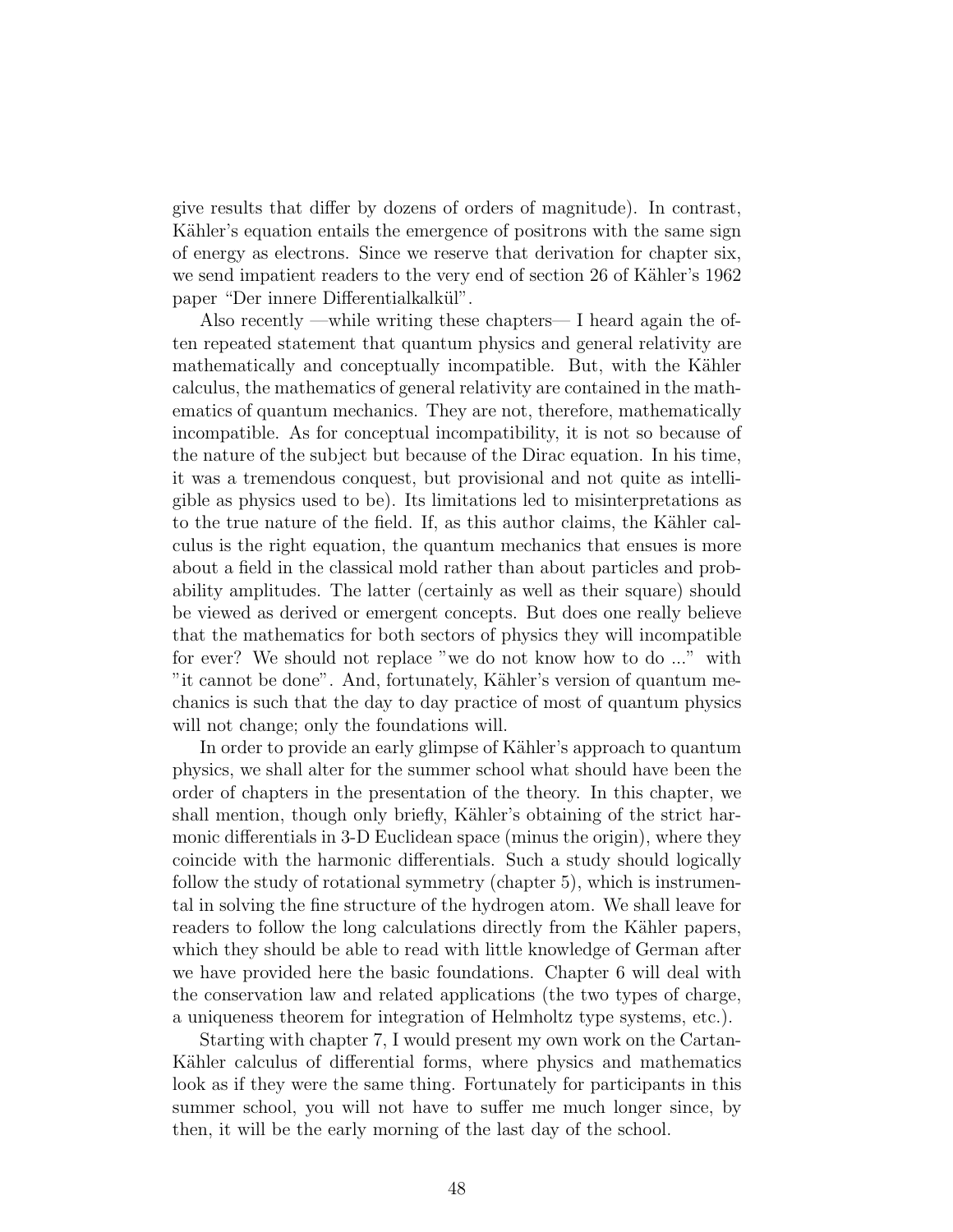give results that differ by dozens of orders of magnitude). In contrast, Kähler's equation entails the emergence of positrons with the same sign of energy as electrons. Since we reserve that derivation for chapter six, we send impatient readers to the very end of section 26 of Kähler's 1962 paper "Der innere Differentialkalkül".

Also recently —while writing these chapters— I heard again the often repeated statement that quantum physics and general relativity are mathematically and conceptually incompatible. But, with the Kähler calculus, the mathematics of general relativity are contained in the mathematics of quantum mechanics. They are not, therefore, mathematically incompatible. As for conceptual incompatibility, it is not so because of the nature of the subject but because of the Dirac equation. In his time, it was a tremendous conquest, but provisional and not quite as intelligible as physics used to be). Its limitations led to misinterpretations as to the true nature of the field. If, as this author claims, the Kähler calculus is the right equation, the quantum mechanics that ensues is more about a field in the classical mold rather than about particles and probability amplitudes. The latter (certainly as well as their square) should be viewed as derived or emergent concepts. But does one really believe that the mathematics for both sectors of physics they will incompatible for ever? We should not replace "we do not know how to do ..." with "it cannot be done". And, fortunately, Kähler's version of quantum mechanics is such that the day to day practice of most of quantum physics will not change; only the foundations will.

In order to provide an early glimpse of Kähler's approach to quantum physics, we shall alter for the summer school what should have been the order of chapters in the presentation of the theory. In this chapter, we shall mention, though only briefly, Kähler's obtaining of the strict harmonic differentials in 3-D Euclidean space (minus the origin), where they coincide with the harmonic differentials. Such a study should logically follow the study of rotational symmetry (chapter 5), which is instrumental in solving the fine structure of the hydrogen atom. We shall leave for readers to follow the long calculations directly from the Kähler papers, which they should be able to read with little knowledge of German after we have provided here the basic foundations. Chapter 6 will deal with the conservation law and related applications (the two types of charge, a uniqueness theorem for integration of Helmholtz type systems, etc.).

Starting with chapter 7, I would present my own work on the Cartan-Kähler calculus of differential forms, where physics and mathematics look as if they were the same thing. Fortunately for participants in this summer school, you will not have to suffer me much longer since, by then, it will be the early morning of the last day of the school.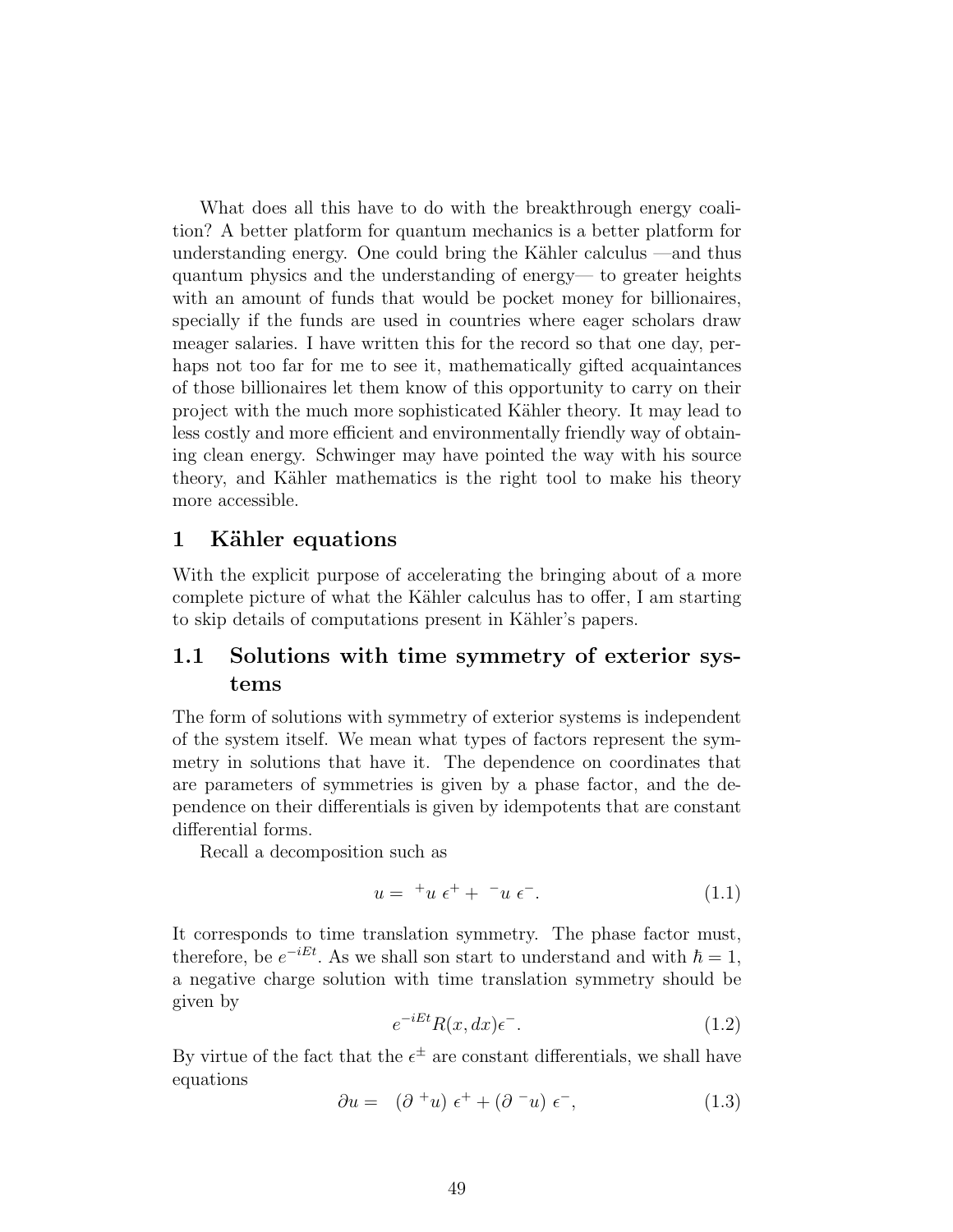What does all this have to do with the breakthrough energy coalition? A better platform for quantum mechanics is a better platform for understanding energy. One could bring the Kähler calculus —and thus quantum physics and the understanding of energy— to greater heights with an amount of funds that would be pocket money for billionaires, specially if the funds are used in countries where eager scholars draw meager salaries. I have written this for the record so that one day, perhaps not too far for me to see it, mathematically gifted acquaintances of those billionaires let them know of this opportunity to carry on their project with the much more sophisticated Kähler theory. It may lead to less costly and more efficient and environmentally friendly way of obtaining clean energy. Schwinger may have pointed the way with his source theory, and Kähler mathematics is the right tool to make his theory more accessible.

#### 1 Kähler equations

With the explicit purpose of accelerating the bringing about of a more complete picture of what the Kähler calculus has to offer, I am starting to skip details of computations present in Kähler's papers.

## 1.1 Solutions with time symmetry of exterior systems

The form of solutions with symmetry of exterior systems is independent of the system itself. We mean what types of factors represent the symmetry in solutions that have it. The dependence on coordinates that are parameters of symmetries is given by a phase factor, and the dependence on their differentials is given by idempotents that are constant differential forms.

Recall a decomposition such as

$$
u = {}^{+}u \epsilon^{+} + {}^{-}u \epsilon^{-}.
$$
 (1.1)

It corresponds to time translation symmetry. The phase factor must, therefore, be  $e^{-iEt}$ . As we shall son start to understand and with  $\hbar = 1$ , a negative charge solution with time translation symmetry should be given by

$$
e^{-iEt}R(x,dx)\epsilon^{\dagger}.
$$
\n(1.2)

By virtue of the fact that the  $\epsilon^{\pm}$  are constant differentials, we shall have equations

$$
\partial u = (\partial^+ u) \epsilon^+ + (\partial^- u) \epsilon^-, \tag{1.3}
$$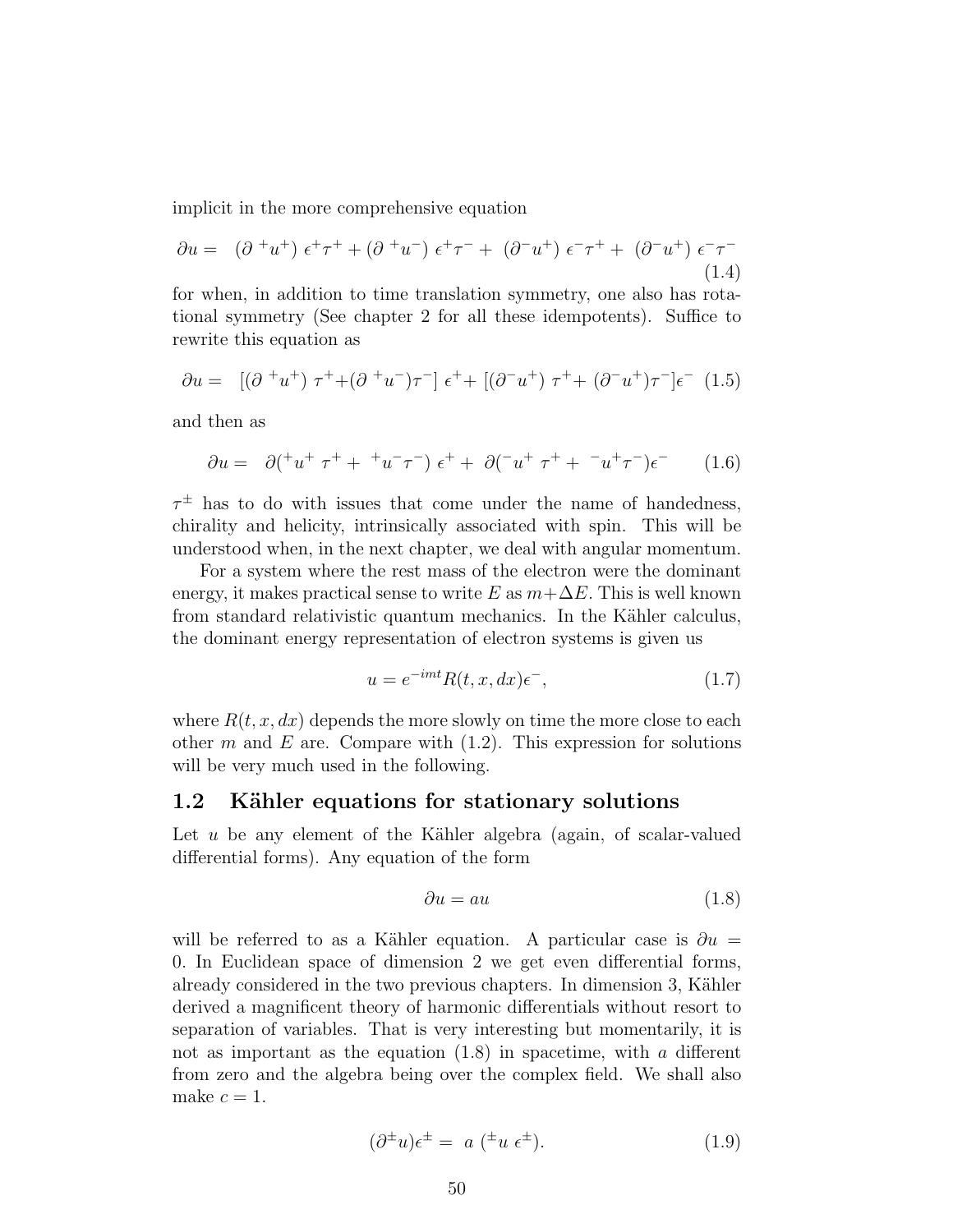implicit in the more comprehensive equation

$$
\partial u = (\partial^+ u^+) \epsilon^+ \tau^+ + (\partial^+ u^-) \epsilon^+ \tau^- + (\partial^- u^+) \epsilon^- \tau^+ + (\partial^- u^+) \epsilon^- \tau^-
$$
\n(1.4)

for when, in addition to time translation symmetry, one also has rotational symmetry (See chapter 2 for all these idempotents). Suffice to rewrite this equation as

$$
\partial u = [(\partial^+ u^+) \ \tau^+ + (\partial^+ u^-) \tau^-] \ \epsilon^+ + [(\partial^- u^+) \ \tau^+ + (\partial^- u^+) \tau^-] \epsilon^- \ (1.5)
$$

and then as

$$
\partial u = \partial ({}^+ u^+ \tau^+ + {}^+ u^- \tau^-) \epsilon^+ + \partial ({}^- u^+ \tau^+ + {}^- u^+ \tau^-) \epsilon^- \tag{1.6}
$$

 $\tau^{\pm}$  has to do with issues that come under the name of handedness, chirality and helicity, intrinsically associated with spin. This will be understood when, in the next chapter, we deal with angular momentum.

For a system where the rest mass of the electron were the dominant energy, it makes practical sense to write E as  $m+\Delta E$ . This is well known from standard relativistic quantum mechanics. In the Kähler calculus, the dominant energy representation of electron systems is given us

$$
u = e^{-imt} R(t, x, dx) \epsilon^-, \qquad (1.7)
$$

where  $R(t, x, dx)$  depends the more slowly on time the more close to each other m and E are. Compare with  $(1.2)$ . This expression for solutions will be very much used in the following.

#### 1.2 Kähler equations for stationary solutions

Let u be any element of the Kähler algebra (again, of scalar-valued differential forms). Any equation of the form

$$
\partial u = au \tag{1.8}
$$

will be referred to as a Kähler equation. A particular case is  $\partial u =$ 0. In Euclidean space of dimension 2 we get even differential forms, already considered in the two previous chapters. In dimension 3, Kähler derived a magnificent theory of harmonic differentials without resort to separation of variables. That is very interesting but momentarily, it is not as important as the equation  $(1.8)$  in spacetime, with a different from zero and the algebra being over the complex field. We shall also make  $c = 1$ .

$$
(\partial^{\pm}u)\epsilon^{\pm} = a\;({}^{\pm}u\;\epsilon^{\pm}).\tag{1.9}
$$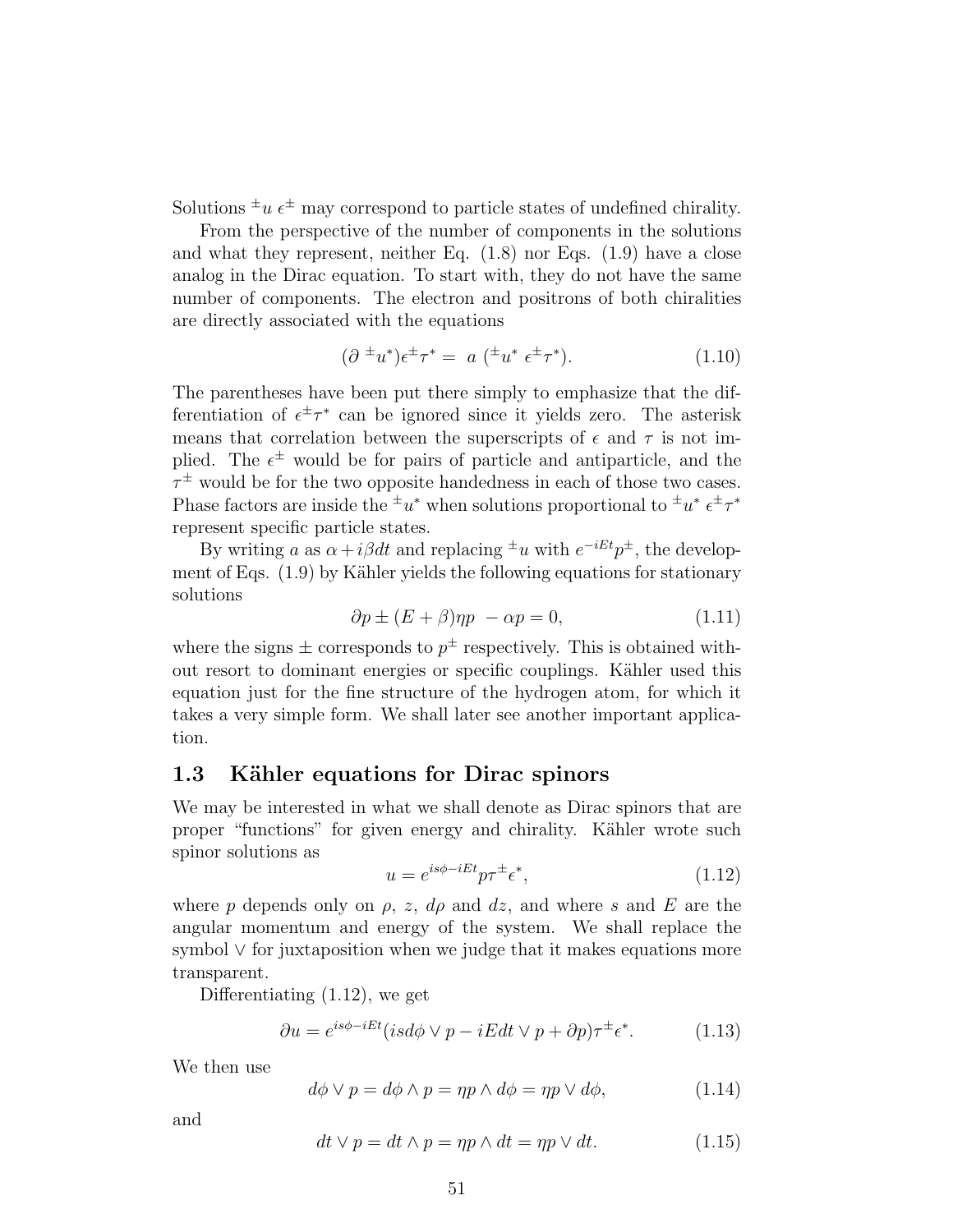Solutions  $\pm u \epsilon^{\pm}$  may correspond to particle states of undefined chirality.

From the perspective of the number of components in the solutions and what they represent, neither Eq. (1.8) nor Eqs. (1.9) have a close analog in the Dirac equation. To start with, they do not have the same number of components. The electron and positrons of both chiralities are directly associated with the equations

$$
(\partial^{\pm}u^*)\epsilon^{\pm}\tau^* = a\;(\pm u^*\;\epsilon^{\pm}\tau^*). \tag{1.10}
$$

The parentheses have been put there simply to emphasize that the differentiation of  $\epsilon^{\pm} \tau^*$  can be ignored since it yields zero. The asterisk means that correlation between the superscripts of  $\epsilon$  and  $\tau$  is not implied. The  $\epsilon^{\pm}$  would be for pairs of particle and antiparticle, and the  $\tau^{\pm}$  would be for the two opposite handedness in each of those two cases. Phase factors are inside the  $\pm u^*$  when solutions proportional to  $\pm u^* \epsilon^{\pm} \tau^*$ represent specific particle states.

By writing a as  $\alpha + i\beta dt$  and replacing <sup> $\pm u$ </sup> with  $e^{-iEt}p^{\pm}$ , the development of Eqs.  $(1.9)$  by Kähler yields the following equations for stationary solutions

$$
\partial p \pm (E + \beta)\eta p - \alpha p = 0,\tag{1.11}
$$

where the signs  $\pm$  corresponds to  $p^{\pm}$  respectively. This is obtained without resort to dominant energies or specific couplings. Kähler used this equation just for the fine structure of the hydrogen atom, for which it takes a very simple form. We shall later see another important application.

#### 1.3 Kähler equations for Dirac spinors

We may be interested in what we shall denote as Dirac spinors that are proper "functions" for given energy and chirality. Kähler wrote such spinor solutions as

$$
u = e^{is\phi - iEt}p\tau^{\pm}\epsilon^*,\tag{1.12}
$$

where p depends only on  $\rho$ , z,  $d\rho$  and dz, and where s and E are the angular momentum and energy of the system. We shall replace the symbol ∨ for juxtaposition when we judge that it makes equations more transparent.

Differentiating (1.12), we get

$$
\partial u = e^{is\phi - iEt} (isd\phi \lor p - iEdt \lor p + \partial p)\tau^{\pm} \epsilon^*.
$$
 (1.13)

We then use

$$
d\phi \lor p = d\phi \land p = \eta p \land d\phi = \eta p \lor d\phi, \tag{1.14}
$$

and

$$
dt \vee p = dt \wedge p = \eta p \wedge dt = \eta p \vee dt. \tag{1.15}
$$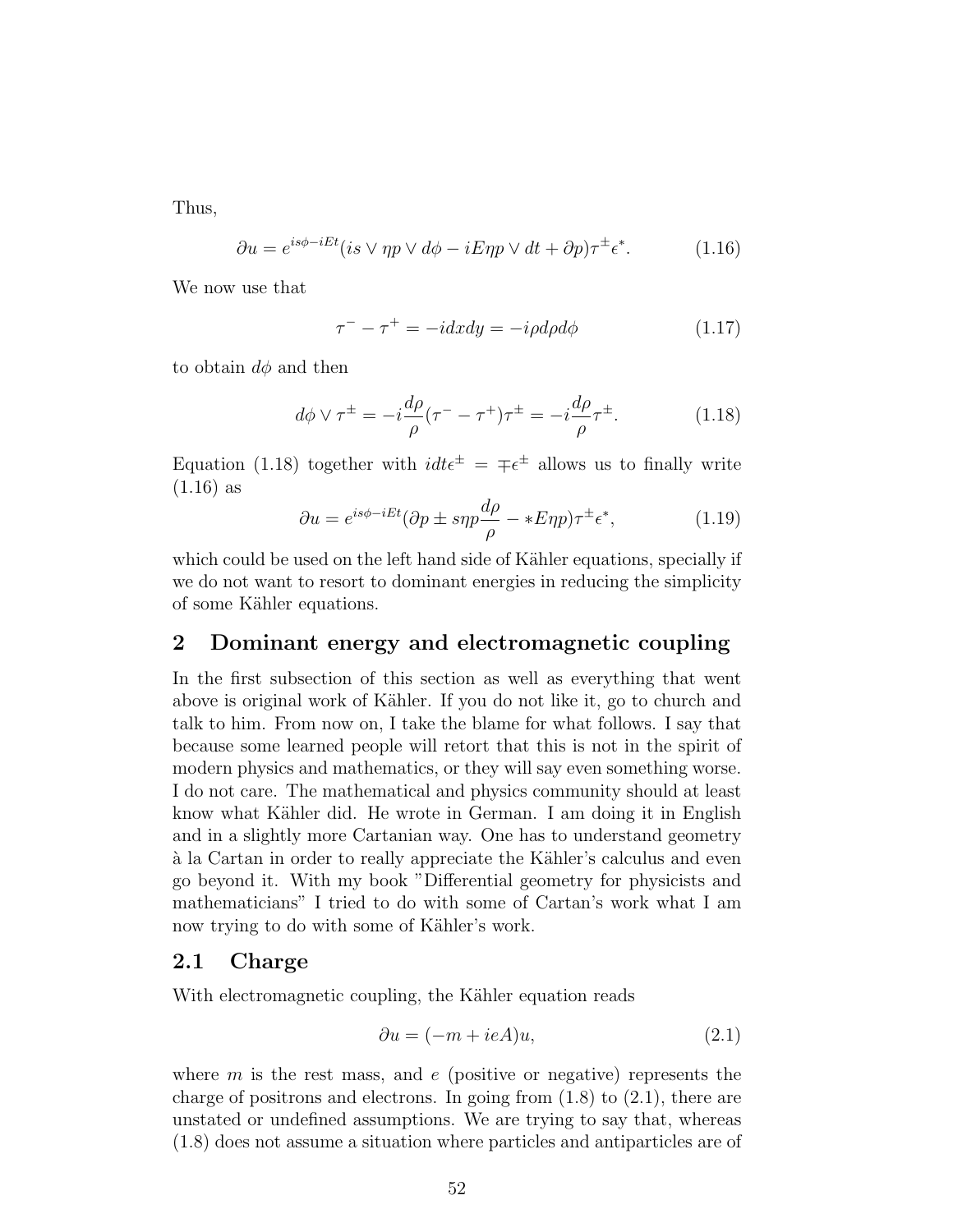Thus,

$$
\partial u = e^{is\phi - iEt} (is \lor \eta p \lor d\phi - iE\eta p \lor dt + \partial p)\tau^{\pm} \epsilon^*.
$$
 (1.16)

We now use that

$$
\tau^{-} - \tau^{+} = -i dx dy = -i \rho d\rho d\phi \qquad (1.17)
$$

to obtain  $d\phi$  and then

$$
d\phi \vee \tau^{\pm} = -i\frac{d\rho}{\rho}(\tau^- - \tau^+) \tau^{\pm} = -i\frac{d\rho}{\rho} \tau^{\pm}.
$$
 (1.18)

Equation (1.18) together with  $idt\epsilon^{\pm} = \mp \epsilon^{\pm}$  allows us to finally write (1.16) as

$$
\partial u = e^{is\phi - iEt} (\partial p \pm s\eta p \frac{d\rho}{\rho} - *E\eta p) \tau^{\pm} \epsilon^*, \qquad (1.19)
$$

which could be used on the left hand side of Kähler equations, specially if we do not want to resort to dominant energies in reducing the simplicity of some Kähler equations.

#### 2 Dominant energy and electromagnetic coupling

In the first subsection of this section as well as everything that went above is original work of Kähler. If you do not like it, go to church and talk to him. From now on, I take the blame for what follows. I say that because some learned people will retort that this is not in the spirit of modern physics and mathematics, or they will say even something worse. I do not care. The mathematical and physics community should at least know what Kähler did. He wrote in German. I am doing it in English and in a slightly more Cartanian way. One has to understand geometry `a la Cartan in order to really appreciate the K¨ahler's calculus and even go beyond it. With my book "Differential geometry for physicists and mathematicians" I tried to do with some of Cartan's work what I am now trying to do with some of Kähler's work.

#### 2.1 Charge

With electromagnetic coupling, the Kähler equation reads

$$
\partial u = (-m + ieA)u,\tag{2.1}
$$

where  $m$  is the rest mass, and  $e$  (positive or negative) represents the charge of positrons and electrons. In going from  $(1.8)$  to  $(2.1)$ , there are unstated or undefined assumptions. We are trying to say that, whereas (1.8) does not assume a situation where particles and antiparticles are of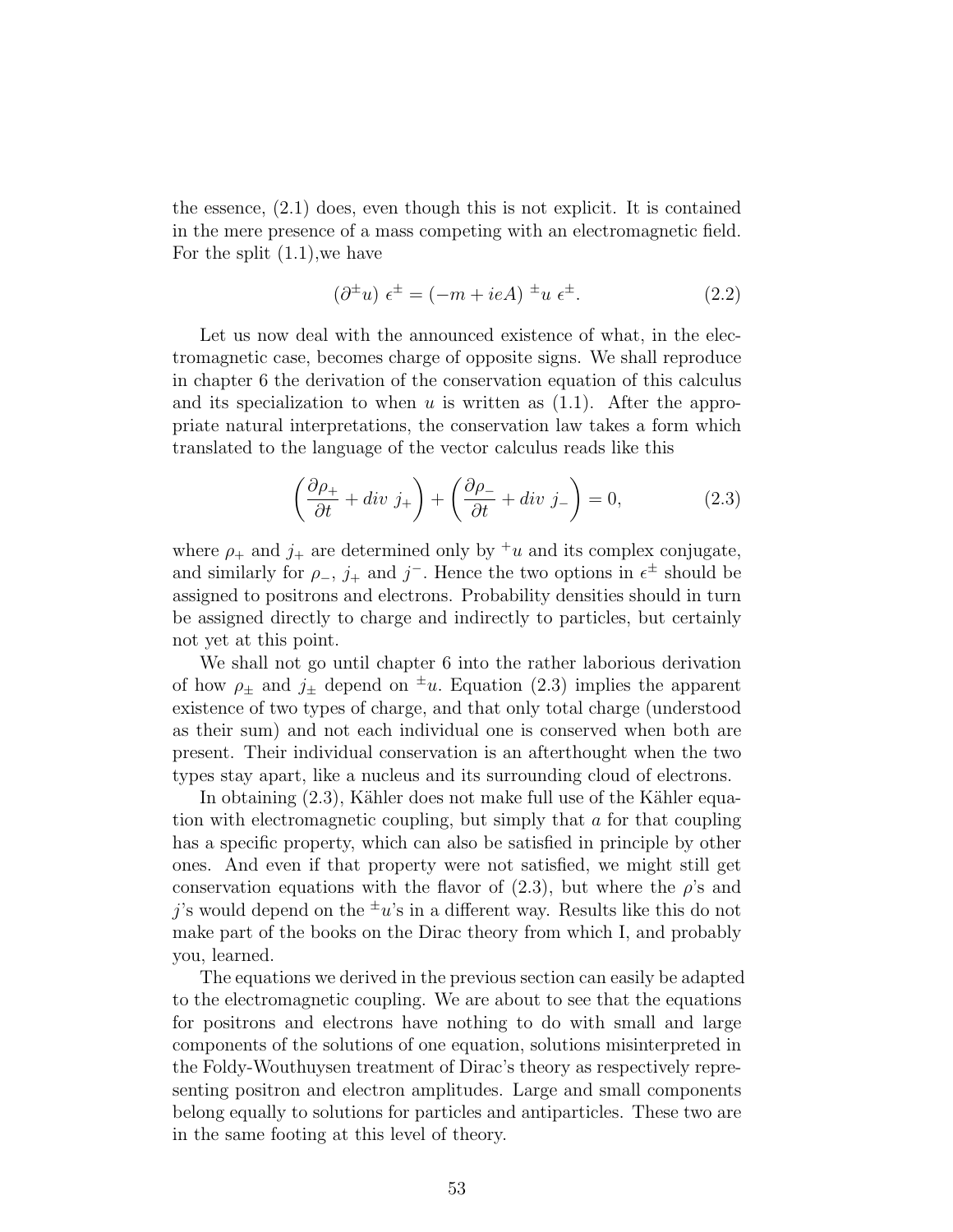the essence, (2.1) does, even though this is not explicit. It is contained in the mere presence of a mass competing with an electromagnetic field. For the split (1.1),we have

$$
(\partial^{\pm}u)\epsilon^{\pm} = (-m + ieA)^{\pm}u\epsilon^{\pm}.
$$
 (2.2)

Let us now deal with the announced existence of what, in the electromagnetic case, becomes charge of opposite signs. We shall reproduce in chapter 6 the derivation of the conservation equation of this calculus and its specialization to when u is written as  $(1.1)$ . After the appropriate natural interpretations, the conservation law takes a form which translated to the language of the vector calculus reads like this

$$
\left(\frac{\partial \rho_+}{\partial t} + \operatorname{div} j_+\right) + \left(\frac{\partial \rho_-}{\partial t} + \operatorname{div} j_-\right) = 0,\tag{2.3}
$$

where  $\rho_+$  and  $j_+$  are determined only by <sup>+</sup>u and its complex conjugate, and similarly for  $\rho_-, j_+$  and j<sup>-</sup>. Hence the two options in  $\epsilon^{\pm}$  should be assigned to positrons and electrons. Probability densities should in turn be assigned directly to charge and indirectly to particles, but certainly not yet at this point.

We shall not go until chapter 6 into the rather laborious derivation of how  $\rho_{\pm}$  and  $j_{\pm}$  depend on  $\pm u$ . Equation (2.3) implies the apparent existence of two types of charge, and that only total charge (understood as their sum) and not each individual one is conserved when both are present. Their individual conservation is an afterthought when the two types stay apart, like a nucleus and its surrounding cloud of electrons.

In obtaining  $(2.3)$ , Kähler does not make full use of the Kähler equation with electromagnetic coupling, but simply that a for that coupling has a specific property, which can also be satisfied in principle by other ones. And even if that property were not satisfied, we might still get conservation equations with the flavor of  $(2.3)$ , but where the  $\rho$ 's and j's would depend on the  $\pm u$ 's in a different way. Results like this do not make part of the books on the Dirac theory from which I, and probably you, learned.

The equations we derived in the previous section can easily be adapted to the electromagnetic coupling. We are about to see that the equations for positrons and electrons have nothing to do with small and large components of the solutions of one equation, solutions misinterpreted in the Foldy-Wouthuysen treatment of Dirac's theory as respectively representing positron and electron amplitudes. Large and small components belong equally to solutions for particles and antiparticles. These two are in the same footing at this level of theory.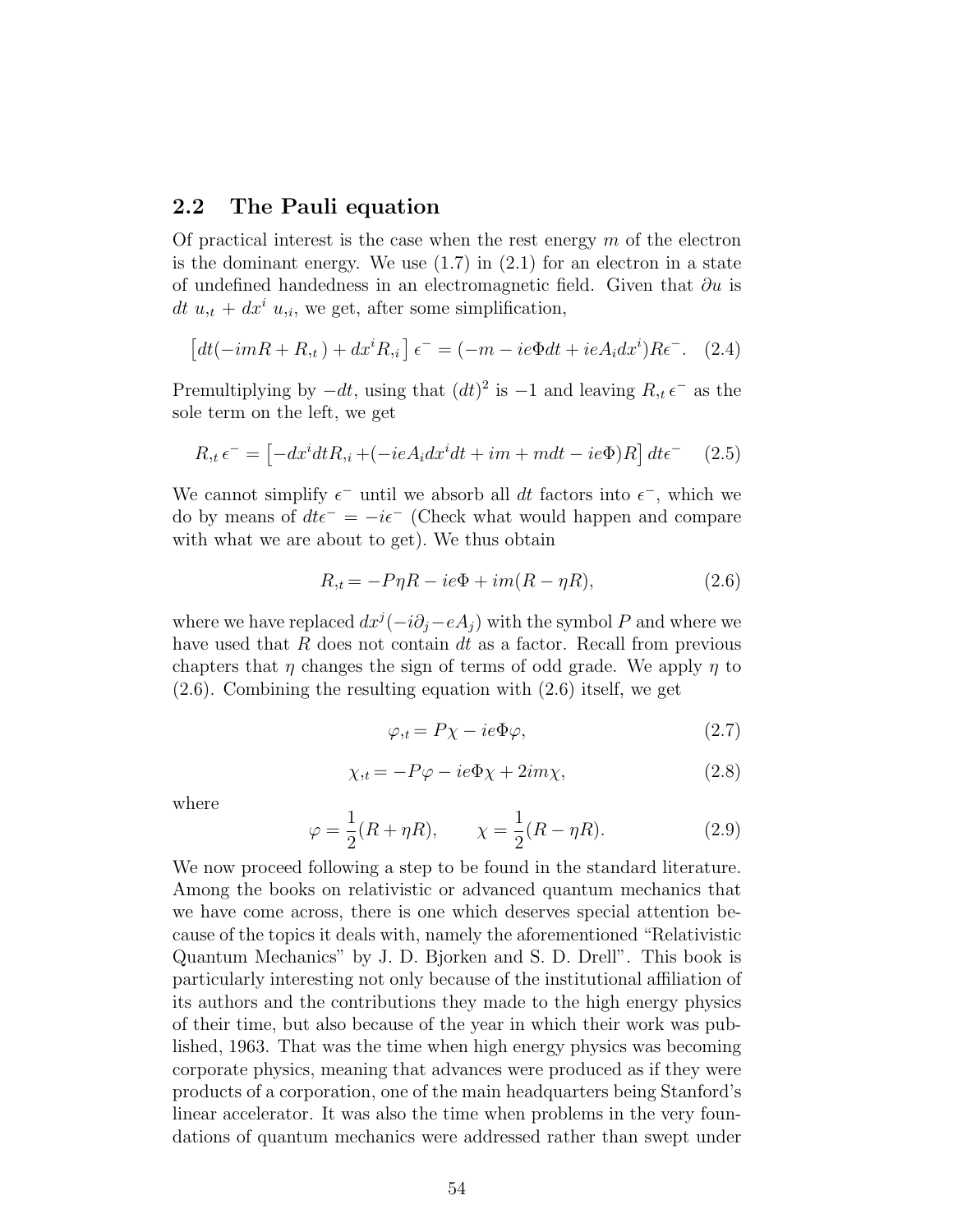#### 2.2 The Pauli equation

Of practical interest is the case when the rest energy  $m$  of the electron is the dominant energy. We use  $(1.7)$  in  $(2.1)$  for an electron in a state of undefined handedness in an electromagnetic field. Given that  $\partial u$  is dt  $u_{i} + dx^{i} u_{i}$ , we get, after some simplification,

$$
\left[dt(-imR + R_{,t}) + dx^i R_{,i}\right] \epsilon^- = (-m - ie\Phi dt + ieA_i dx^i)R\epsilon^-. \quad (2.4)
$$

Premultiplying by  $-dt$ , using that  $(dt)^2$  is  $-1$  and leaving  $R, t \in \mathbb{R}$  as the sole term on the left, we get

$$
R_{,t} \epsilon^- = \left[ -dx^i dt R_{,i} + (-ieA_i dx^i dt + im + m dt - ie\Phi)R \right] dt \epsilon^- \quad (2.5)
$$

We cannot simplify  $\epsilon^-$  until we absorb all dt factors into  $\epsilon^-$ , which we do by means of  $dt\epsilon^- = -i\epsilon^-$  (Check what would happen and compare with what we are about to get). We thus obtain

$$
R_{,t} = -P\eta R - ie\Phi + im(R - \eta R),\tag{2.6}
$$

where we have replaced  $dx^{j}(-i\partial_j - eA_j)$  with the symbol P and where we have used that  $R$  does not contain  $dt$  as a factor. Recall from previous chapters that  $\eta$  changes the sign of terms of odd grade. We apply  $\eta$  to (2.6). Combining the resulting equation with (2.6) itself, we get

$$
\varphi_{,t} = P\chi - ie\Phi\varphi,\tag{2.7}
$$

$$
\chi_{,t} = -P\varphi - ie\Phi\chi + 2im\chi,\tag{2.8}
$$

where

$$
\varphi = \frac{1}{2}(R + \eta R), \qquad \chi = \frac{1}{2}(R - \eta R).
$$
\n(2.9)

We now proceed following a step to be found in the standard literature. Among the books on relativistic or advanced quantum mechanics that we have come across, there is one which deserves special attention because of the topics it deals with, namely the aforementioned "Relativistic Quantum Mechanics" by J. D. Bjorken and S. D. Drell". This book is particularly interesting not only because of the institutional affiliation of its authors and the contributions they made to the high energy physics of their time, but also because of the year in which their work was published, 1963. That was the time when high energy physics was becoming corporate physics, meaning that advances were produced as if they were products of a corporation, one of the main headquarters being Stanford's linear accelerator. It was also the time when problems in the very foundations of quantum mechanics were addressed rather than swept under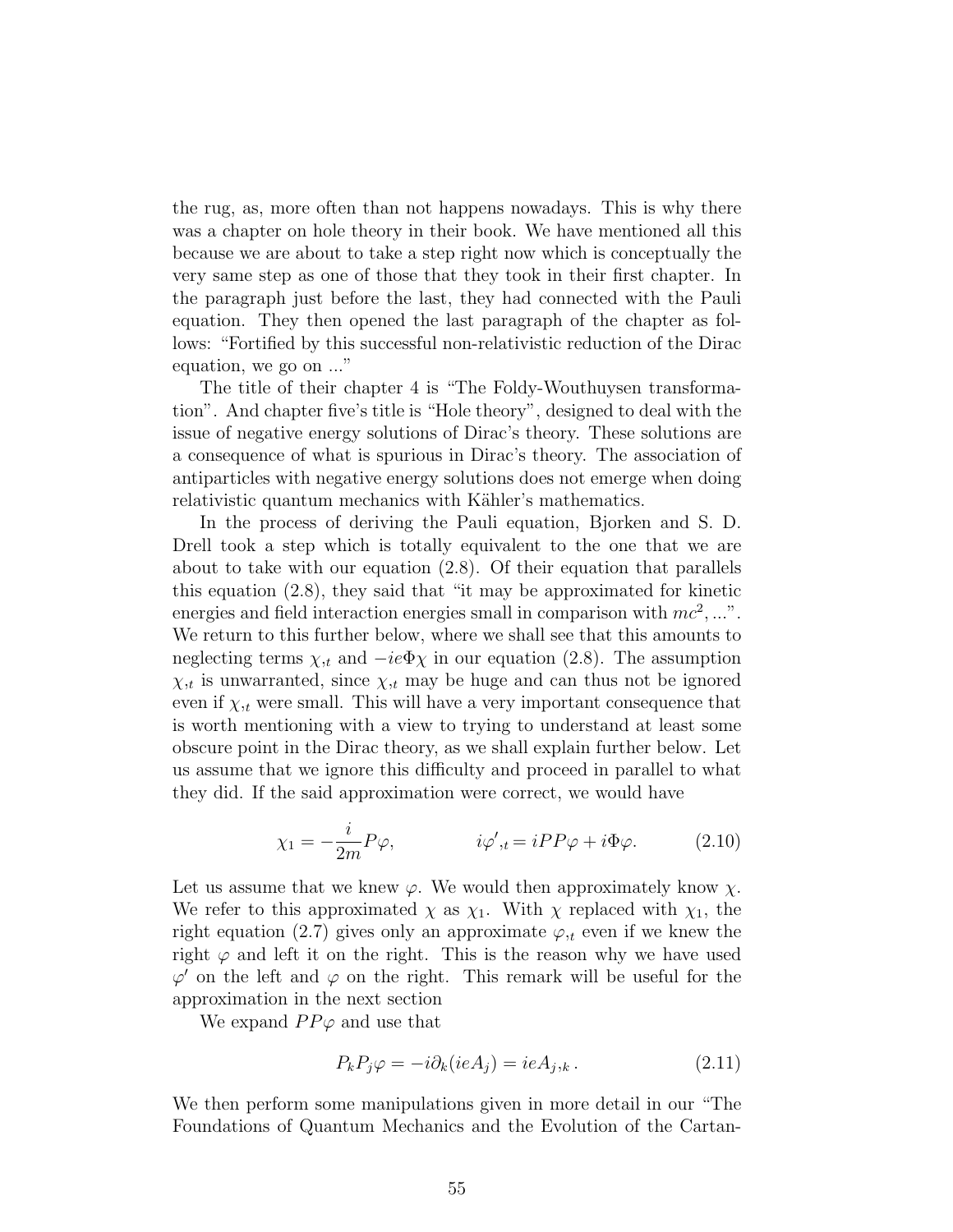the rug, as, more often than not happens nowadays. This is why there was a chapter on hole theory in their book. We have mentioned all this because we are about to take a step right now which is conceptually the very same step as one of those that they took in their first chapter. In the paragraph just before the last, they had connected with the Pauli equation. They then opened the last paragraph of the chapter as follows: "Fortified by this successful non-relativistic reduction of the Dirac equation, we go on ..."

The title of their chapter 4 is "The Foldy-Wouthuysen transformation". And chapter five's title is "Hole theory", designed to deal with the issue of negative energy solutions of Dirac's theory. These solutions are a consequence of what is spurious in Dirac's theory. The association of antiparticles with negative energy solutions does not emerge when doing relativistic quantum mechanics with Kähler's mathematics.

In the process of deriving the Pauli equation, Bjorken and S. D. Drell took a step which is totally equivalent to the one that we are about to take with our equation (2.8). Of their equation that parallels this equation (2.8), they said that "it may be approximated for kinetic energies and field interaction energies small in comparison with  $mc^2$ , ...". We return to this further below, where we shall see that this amounts to neglecting terms  $\chi_{,t}$  and  $-ie\Phi\chi$  in our equation (2.8). The assumption  $\chi_{,t}$  is unwarranted, since  $\chi_{,t}$  may be huge and can thus not be ignored even if  $\chi_{,t}$  were small. This will have a very important consequence that is worth mentioning with a view to trying to understand at least some obscure point in the Dirac theory, as we shall explain further below. Let us assume that we ignore this difficulty and proceed in parallel to what they did. If the said approximation were correct, we would have

$$
\chi_1 = -\frac{i}{2m} P \varphi, \qquad i\varphi',_{t} = iPP\varphi + i\Phi\varphi. \qquad (2.10)
$$

Let us assume that we knew  $\varphi$ . We would then approximately know  $\chi$ . We refer to this approximated  $\chi$  as  $\chi_1$ . With  $\chi$  replaced with  $\chi_1$ , the right equation (2.7) gives only an approximate  $\varphi_{,t}$  even if we knew the right  $\varphi$  and left it on the right. This is the reason why we have used  $\varphi'$  on the left and  $\varphi$  on the right. This remark will be useful for the approximation in the next section

We expand  $PP\varphi$  and use that

$$
P_k P_j \varphi = -i \partial_k (ieA_j) = ieA_{j,k}.
$$
\n(2.11)

We then perform some manipulations given in more detail in our "The Foundations of Quantum Mechanics and the Evolution of the Cartan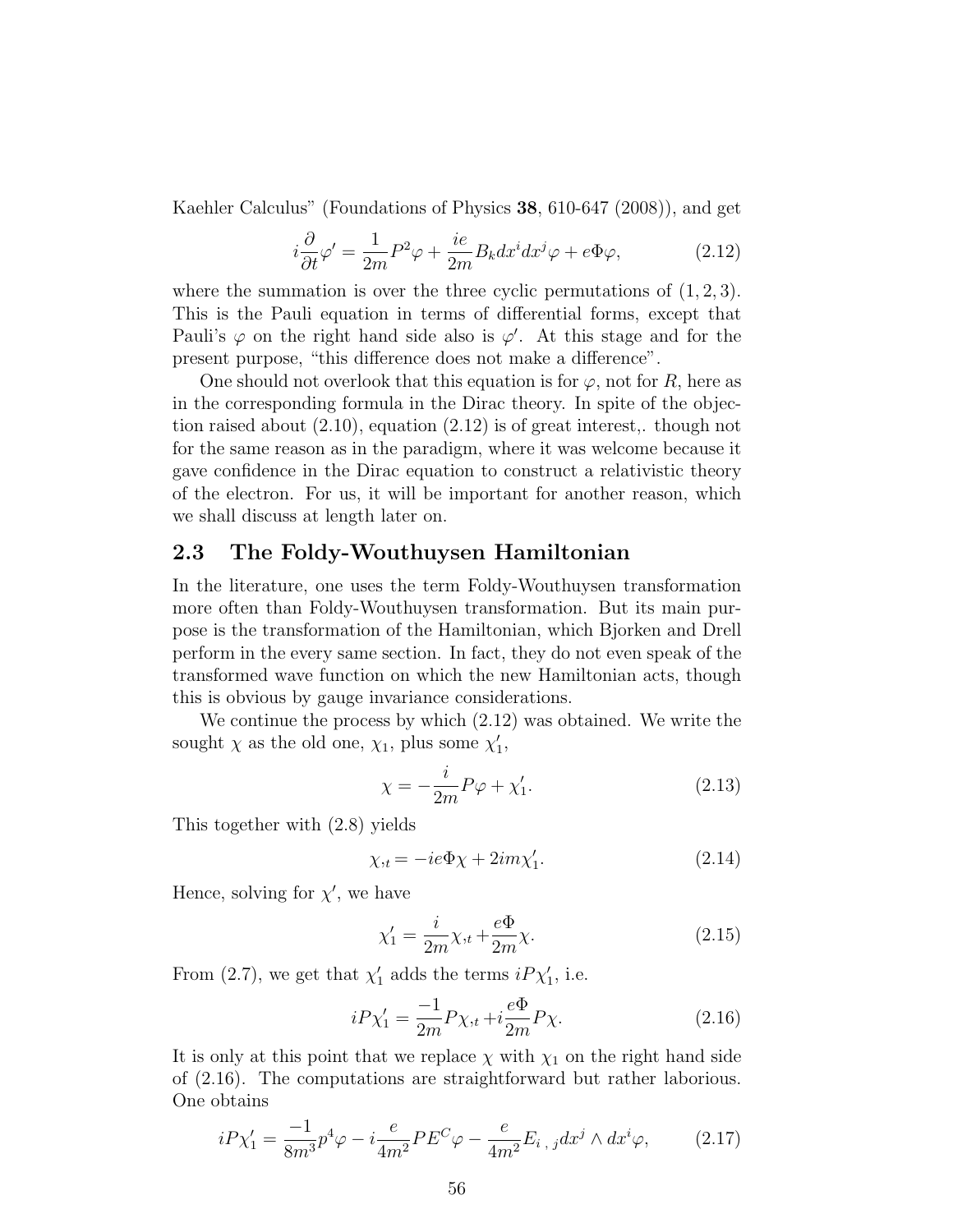Kaehler Calculus" (Foundations of Physics 38, 610-647 (2008)), and get

$$
i\frac{\partial}{\partial t}\varphi' = \frac{1}{2m}P^2\varphi + \frac{ie}{2m}B_k dx^i dx^j \varphi + e\Phi\varphi,
$$
 (2.12)

where the summation is over the three cyclic permutations of  $(1, 2, 3)$ . This is the Pauli equation in terms of differential forms, except that Pauli's  $\varphi$  on the right hand side also is  $\varphi'$ . At this stage and for the present purpose, "this difference does not make a difference".

One should not overlook that this equation is for  $\varphi$ , not for R, here as in the corresponding formula in the Dirac theory. In spite of the objection raised about (2.10), equation (2.12) is of great interest,. though not for the same reason as in the paradigm, where it was welcome because it gave confidence in the Dirac equation to construct a relativistic theory of the electron. For us, it will be important for another reason, which we shall discuss at length later on.

#### 2.3 The Foldy-Wouthuysen Hamiltonian

In the literature, one uses the term Foldy-Wouthuysen transformation more often than Foldy-Wouthuysen transformation. But its main purpose is the transformation of the Hamiltonian, which Bjorken and Drell perform in the every same section. In fact, they do not even speak of the transformed wave function on which the new Hamiltonian acts, though this is obvious by gauge invariance considerations.

We continue the process by which (2.12) was obtained. We write the sought  $\chi$  as the old one,  $\chi_1$ , plus some  $\chi'_1$ ,

$$
\chi = -\frac{i}{2m}P\varphi + \chi_1'.\tag{2.13}
$$

This together with (2.8) yields

$$
\chi_{,t} = -ie\Phi\chi + 2im\chi_1'.\tag{2.14}
$$

Hence, solving for  $\chi'$ , we have

$$
\chi_1' = \frac{i}{2m}\chi_{,t} + \frac{e\Phi}{2m}\chi.
$$
\n(2.15)

From (2.7), we get that  $\chi'_1$  adds the terms  $iP\chi'_1$ , i.e.

$$
iP\chi_1' = \frac{-1}{2m}P\chi_{,t} + i\frac{e\Phi}{2m}P\chi.
$$
 (2.16)

It is only at this point that we replace  $\chi$  with  $\chi_1$  on the right hand side of (2.16). The computations are straightforward but rather laborious. One obtains

$$
iP\chi_1' = \frac{-1}{8m^3}p^4\varphi - i\frac{e}{4m^2}PE^C\varphi - \frac{e}{4m^2}E_{i,j}dx^j \wedge dx^i\varphi, \qquad (2.17)
$$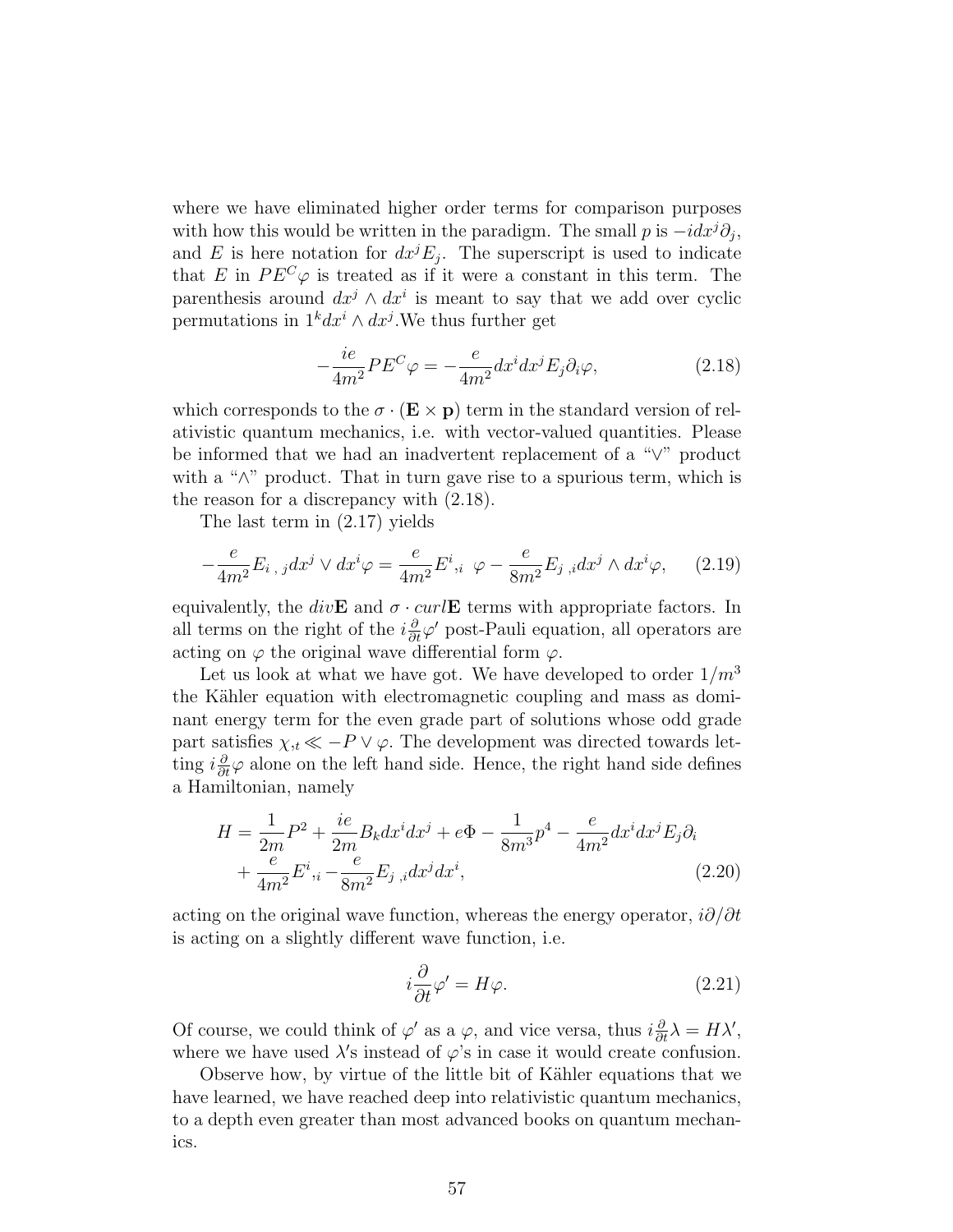where we have eliminated higher order terms for comparison purposes with how this would be written in the paradigm. The small p is  $-idx<sup>j</sup>\partial_j$ , and E is here notation for  $dx^{j}E_{j}$ . The superscript is used to indicate that E in  $PE^{C}\varphi$  is treated as if it were a constant in this term. The parenthesis around  $dx^j \wedge dx^i$  is meant to say that we add over cyclic permutations in  $1^k dx^i \wedge dx^j$ . We thus further get

$$
-\frac{ie}{4m^2}PE^C\varphi = -\frac{e}{4m^2}dx^i dx^j E_j \partial_i \varphi, \qquad (2.18)
$$

which corresponds to the  $\sigma \cdot (\mathbf{E} \times \mathbf{p})$  term in the standard version of relativistic quantum mechanics, i.e. with vector-valued quantities. Please be informed that we had an inadvertent replacement of a "∨" product with a "∧" product. That in turn gave rise to a spurious term, which is the reason for a discrepancy with (2.18).

The last term in (2.17) yields

$$
-\frac{e}{4m^2}E_{i,j}dx^j \vee dx^i \varphi = \frac{e}{4m^2}E^i, \quad \varphi - \frac{e}{8m^2}E_{j,i}dx^j \wedge dx^i \varphi, \qquad (2.19)
$$

equivalently, the div**E** and  $\sigma \cdot \text{curl}$ **E** terms with appropriate factors. In all terms on the right of the  $i\frac{\partial}{\partial t}\varphi'$  post-Pauli equation, all operators are acting on  $\varphi$  the original wave differential form  $\varphi$ .

Let us look at what we have got. We have developed to order  $1/m<sup>3</sup>$ the Kähler equation with electromagnetic coupling and mass as dominant energy term for the even grade part of solutions whose odd grade part satisfies  $\chi_{,t} \ll -P \vee \varphi$ . The development was directed towards letting  $i\frac{\partial}{\partial t}\varphi$  alone on the left hand side. Hence, the right hand side defines a Hamiltonian, namely

$$
H = \frac{1}{2m}P^2 + \frac{ie}{2m}B_k dx^i dx^j + e\Phi - \frac{1}{8m^3}p^4 - \frac{e}{4m^2}dx^i dx^j E_j \partial_i
$$
  
+ 
$$
\frac{e}{4m^2}E^i,_i - \frac{e}{8m^2}E_j,_i dx^j dx^i,
$$
 (2.20)

acting on the original wave function, whereas the energy operator,  $i\partial/\partial t$ is acting on a slightly different wave function, i.e.

$$
i\frac{\partial}{\partial t}\varphi' = H\varphi.
$$
 (2.21)

Of course, we could think of  $\varphi'$  as a  $\varphi$ , and vice versa, thus  $i\frac{\partial}{\partial t}\lambda = H\lambda'$ , where we have used  $\lambda$ 's instead of  $\varphi$ 's in case it would create confusion.

Observe how, by virtue of the little bit of Kähler equations that we have learned, we have reached deep into relativistic quantum mechanics, to a depth even greater than most advanced books on quantum mechanics.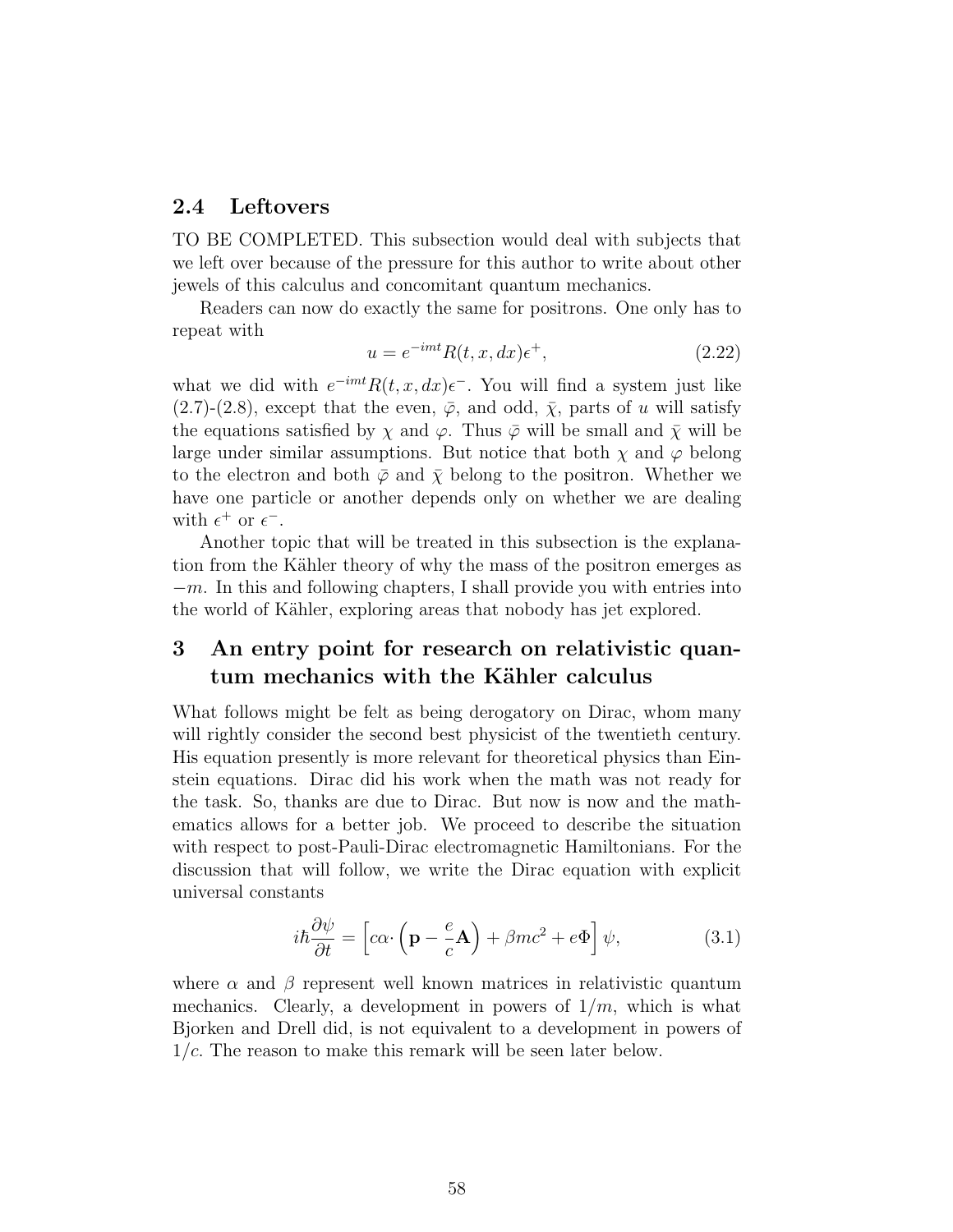#### 2.4 Leftovers

TO BE COMPLETED. This subsection would deal with subjects that we left over because of the pressure for this author to write about other jewels of this calculus and concomitant quantum mechanics.

Readers can now do exactly the same for positrons. One only has to repeat with

$$
u = e^{-imt} R(t, x, dx) \epsilon^+, \qquad (2.22)
$$

what we did with  $e^{-imt}R(t, x, dx)\epsilon^{-}$ . You will find a system just like  $(2.7)-(2.8)$ , except that the even,  $\overline{\varphi}$ , and odd,  $\overline{\chi}$ , parts of u will satisfy the equations satisfied by  $\chi$  and  $\varphi$ . Thus  $\bar{\varphi}$  will be small and  $\bar{\chi}$  will be large under similar assumptions. But notice that both  $\chi$  and  $\varphi$  belong to the electron and both  $\bar{\varphi}$  and  $\bar{\chi}$  belong to the positron. Whether we have one particle or another depends only on whether we are dealing with  $\epsilon^+$  or  $\epsilon^-$ .

Another topic that will be treated in this subsection is the explanation from the Kähler theory of why the mass of the positron emerges as  $-m$ . In this and following chapters, I shall provide you with entries into the world of Kähler, exploring areas that nobody has jet explored.

## 3 An entry point for research on relativistic quantum mechanics with the Kähler calculus

What follows might be felt as being derogatory on Dirac, whom many will rightly consider the second best physicist of the twentieth century. His equation presently is more relevant for theoretical physics than Einstein equations. Dirac did his work when the math was not ready for the task. So, thanks are due to Dirac. But now is now and the mathematics allows for a better job. We proceed to describe the situation with respect to post-Pauli-Dirac electromagnetic Hamiltonians. For the discussion that will follow, we write the Dirac equation with explicit universal constants

$$
i\hbar \frac{\partial \psi}{\partial t} = \left[c\alpha \cdot \left(\mathbf{p} - \frac{e}{c}\mathbf{A}\right) + \beta mc^2 + e\Phi\right] \psi,
$$
 (3.1)

where  $\alpha$  and  $\beta$  represent well known matrices in relativistic quantum mechanics. Clearly, a development in powers of  $1/m$ , which is what Bjorken and Drell did, is not equivalent to a development in powers of  $1/c$ . The reason to make this remark will be seen later below.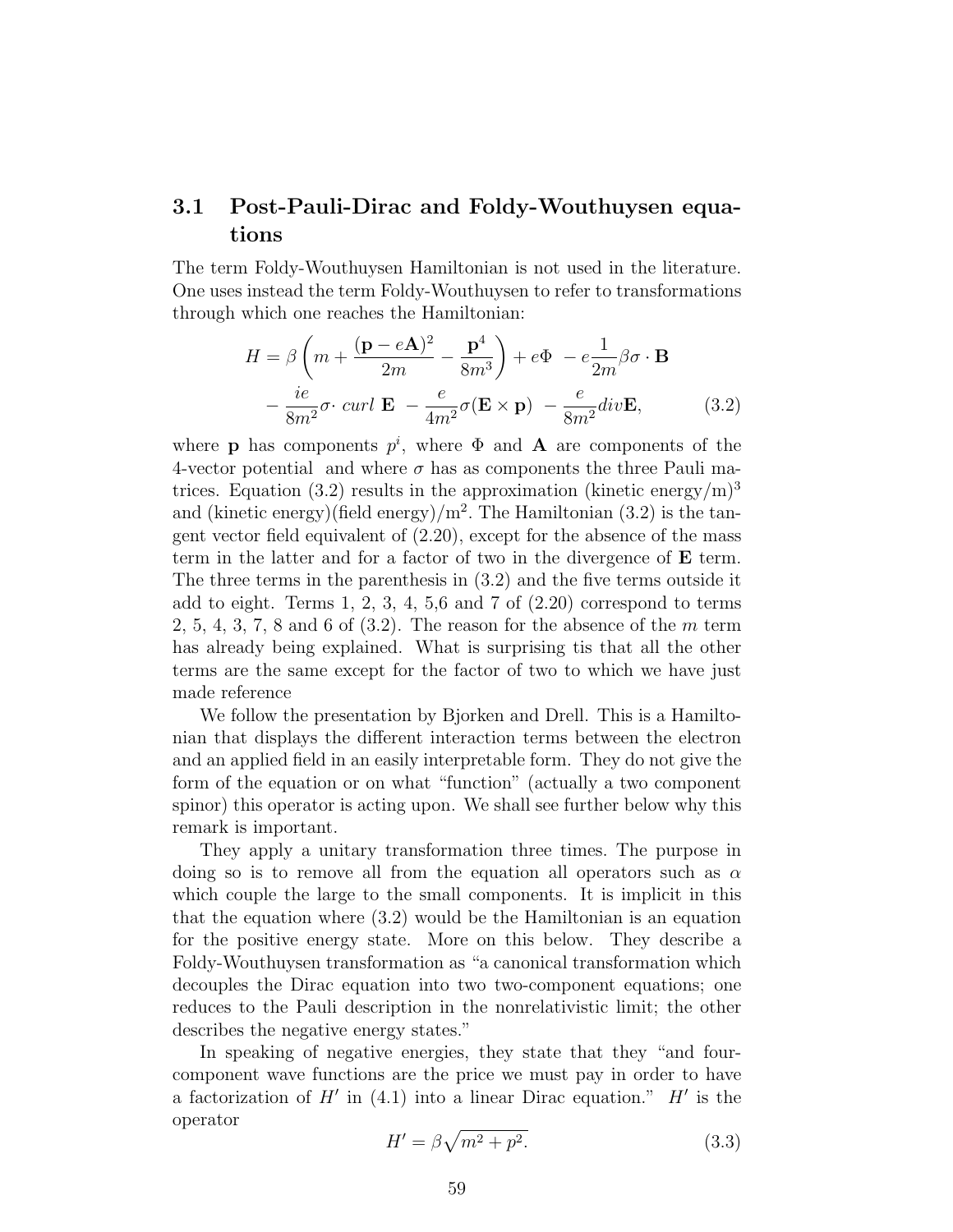## 3.1 Post-Pauli-Dirac and Foldy-Wouthuysen equations

The term Foldy-Wouthuysen Hamiltonian is not used in the literature. One uses instead the term Foldy-Wouthuysen to refer to transformations through which one reaches the Hamiltonian:

$$
H = \beta \left( m + \frac{(\mathbf{p} - e\mathbf{A})^2}{2m} - \frac{\mathbf{p}^4}{8m^3} \right) + e\Phi - e\frac{1}{2m}\beta\sigma \cdot \mathbf{B}
$$

$$
- \frac{ie}{8m^2}\sigma \cdot \operatorname{curl} \mathbf{E} - \frac{e}{4m^2}\sigma(\mathbf{E} \times \mathbf{p}) - \frac{e}{8m^2}\operatorname{div} \mathbf{E}, \tag{3.2}
$$

where **p** has components  $p^i$ , where  $\Phi$  and **A** are components of the 4-vector potential and where  $\sigma$  has as components the three Pauli matrices. Equation (3.2) results in the approximation (kinetic energy/m)<sup>3</sup> and (kinetic energy)(field energy)/ $m^2$ . The Hamiltonian (3.2) is the tangent vector field equivalent of (2.20), except for the absence of the mass term in the latter and for a factor of two in the divergence of E term. The three terms in the parenthesis in (3.2) and the five terms outside it add to eight. Terms 1, 2, 3, 4, 5,6 and 7 of  $(2.20)$  correspond to terms 2, 5, 4, 3, 7, 8 and 6 of  $(3.2)$ . The reason for the absence of the m term has already being explained. What is surprising tis that all the other terms are the same except for the factor of two to which we have just made reference

We follow the presentation by Bjorken and Drell. This is a Hamiltonian that displays the different interaction terms between the electron and an applied field in an easily interpretable form. They do not give the form of the equation or on what "function" (actually a two component spinor) this operator is acting upon. We shall see further below why this remark is important.

They apply a unitary transformation three times. The purpose in doing so is to remove all from the equation all operators such as  $\alpha$ which couple the large to the small components. It is implicit in this that the equation where (3.2) would be the Hamiltonian is an equation for the positive energy state. More on this below. They describe a Foldy-Wouthuysen transformation as "a canonical transformation which decouples the Dirac equation into two two-component equations; one reduces to the Pauli description in the nonrelativistic limit; the other describes the negative energy states."

In speaking of negative energies, they state that they "and fourcomponent wave functions are the price we must pay in order to have a factorization of  $H'$  in (4.1) into a linear Dirac equation."  $H'$  is the operator

$$
H' = \beta \sqrt{m^2 + p^2}.\tag{3.3}
$$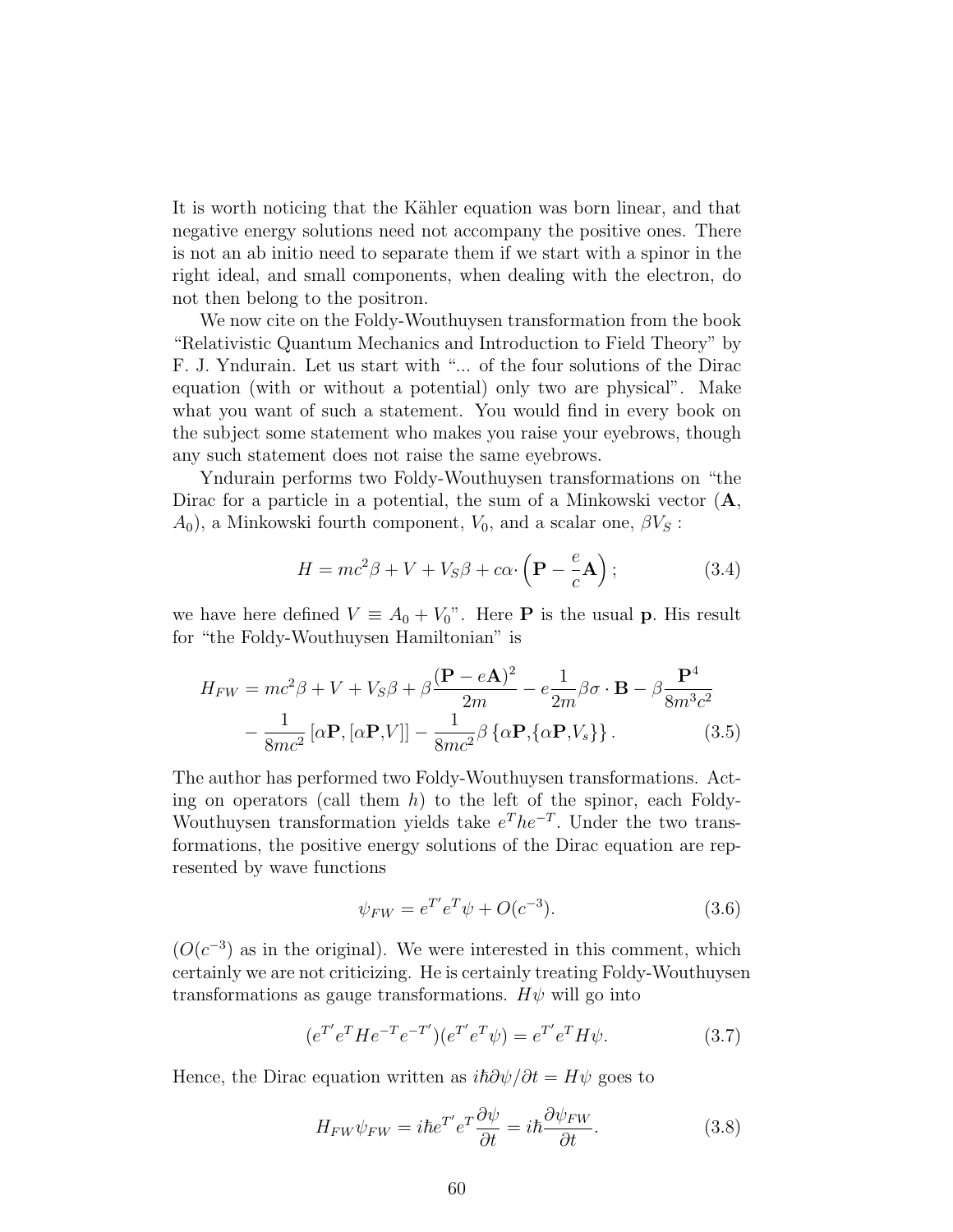It is worth noticing that the Kähler equation was born linear, and that negative energy solutions need not accompany the positive ones. There is not an ab initio need to separate them if we start with a spinor in the right ideal, and small components, when dealing with the electron, do not then belong to the positron.

We now cite on the Foldy-Wouthuysen transformation from the book "Relativistic Quantum Mechanics and Introduction to Field Theory" by F. J. Yndurain. Let us start with "... of the four solutions of the Dirac equation (with or without a potential) only two are physical". Make what you want of such a statement. You would find in every book on the subject some statement who makes you raise your eyebrows, though any such statement does not raise the same eyebrows.

Yndurain performs two Foldy-Wouthuysen transformations on "the Dirac for a particle in a potential, the sum of a Minkowski vector  $(A, A)$  $A_0$ , a Minkowski fourth component,  $V_0$ , and a scalar one,  $\beta V_s$ :

$$
H = mc^2 \beta + V + V_S \beta + c\alpha \cdot \left(\mathbf{P} - \frac{e}{c} \mathbf{A}\right);
$$
 (3.4)

we have here defined  $V \equiv A_0 + V_0$ ". Here **P** is the usual **p**. His result for "the Foldy-Wouthuysen Hamiltonian" is

$$
H_{FW} = mc^2 \beta + V + V_S \beta + \beta \frac{(\mathbf{P} - e\mathbf{A})^2}{2m} - e \frac{1}{2m} \beta \sigma \cdot \mathbf{B} - \beta \frac{\mathbf{P}^4}{8m^3 c^2} - \frac{1}{8mc^2} [\alpha \mathbf{P}, [\alpha \mathbf{P}, V]] - \frac{1}{8mc^2} \beta {\alpha \mathbf{P}, {\alpha \mathbf{P}, V_s}}.
$$
 (3.5)

The author has performed two Foldy-Wouthuysen transformations. Acting on operators (call them  $h$ ) to the left of the spinor, each Foldy-Wouthuysen transformation yields take  $e^{T}he^{-T}$ . Under the two transformations, the positive energy solutions of the Dirac equation are represented by wave functions

$$
\psi_{FW} = e^{T'} e^T \psi + O(c^{-3}).\tag{3.6}
$$

 $(O(c^{-3})$  as in the original). We were interested in this comment, which certainly we are not criticizing. He is certainly treating Foldy-Wouthuysen transformations as gauge transformations.  $H\psi$  will go into

$$
(e^{T'}e^{T}He^{-T}e^{-T'})(e^{T'}e^{T}\psi) = e^{T'}e^{T}H\psi.
$$
\n(3.7)

Hence, the Dirac equation written as  $i\hbar \partial \psi/\partial t = H\psi$  goes to

$$
H_{FW}\psi_{FW} = i\hbar e^{T'}e^{T}\frac{\partial\psi}{\partial t} = i\hbar \frac{\partial\psi_{FW}}{\partial t}.
$$
 (3.8)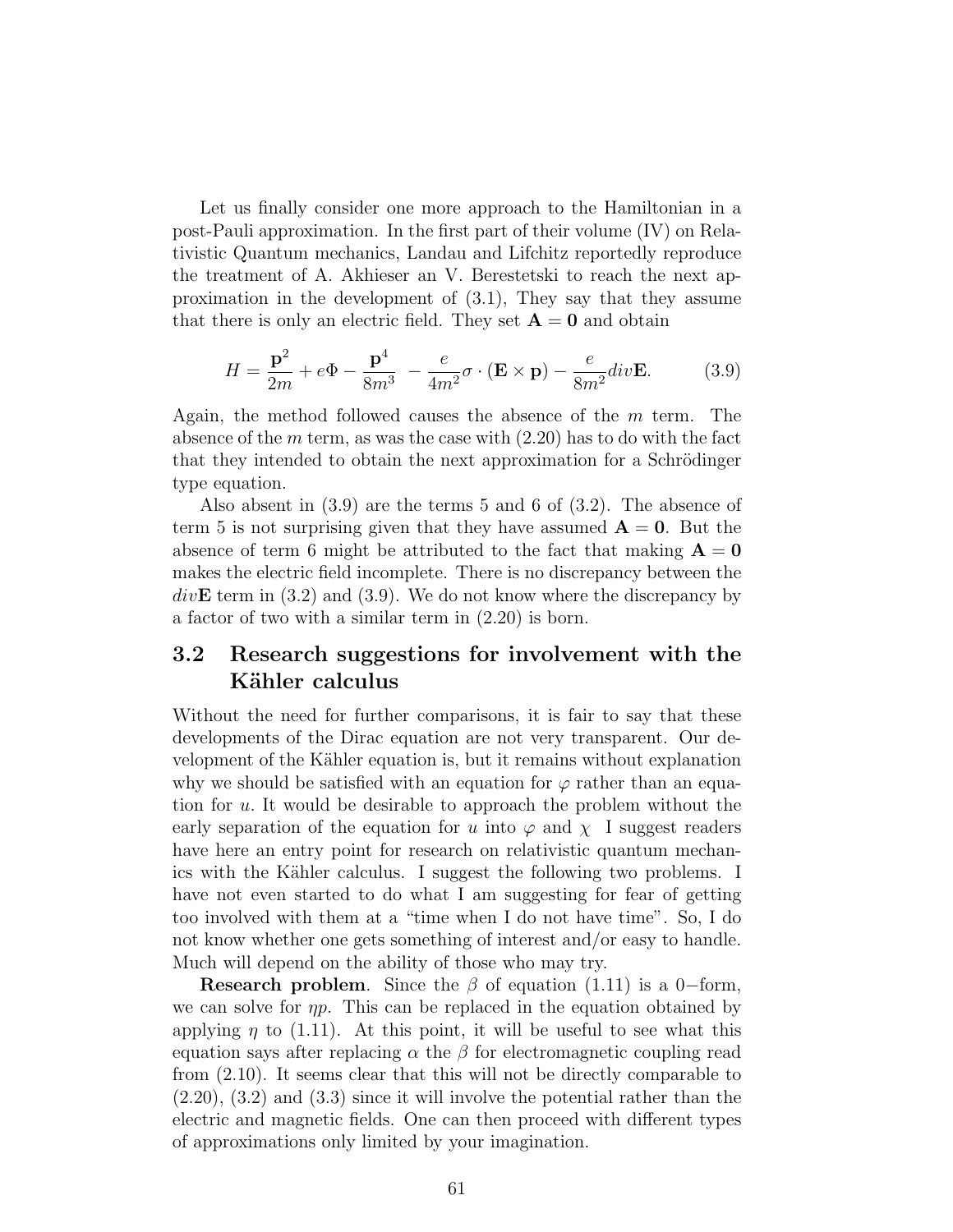Let us finally consider one more approach to the Hamiltonian in a post-Pauli approximation. In the first part of their volume (IV) on Relativistic Quantum mechanics, Landau and Lifchitz reportedly reproduce the treatment of A. Akhieser an V. Berestetski to reach the next approximation in the development of (3.1), They say that they assume that there is only an electric field. They set  $A = 0$  and obtain

$$
H = \frac{\mathbf{p}^2}{2m} + e\Phi - \frac{\mathbf{p}^4}{8m^3} - \frac{e}{4m^2}\sigma \cdot (\mathbf{E} \times \mathbf{p}) - \frac{e}{8m^2}div\mathbf{E}.
$$
 (3.9)

Again, the method followed causes the absence of the m term. The absence of the  $m$  term, as was the case with  $(2.20)$  has to do with the fact that they intended to obtain the next approximation for a Schrödinger type equation.

Also absent in (3.9) are the terms 5 and 6 of (3.2). The absence of term 5 is not surprising given that they have assumed  $A = 0$ . But the absence of term 6 might be attributed to the fact that making  $A = 0$ makes the electric field incomplete. There is no discrepancy between the  $div\mathbf{E}$  term in (3.2) and (3.9). We do not know where the discrepancy by a factor of two with a similar term in (2.20) is born.

## 3.2 Research suggestions for involvement with the Kähler calculus

Without the need for further comparisons, it is fair to say that these developments of the Dirac equation are not very transparent. Our development of the Kähler equation is, but it remains without explanation why we should be satisfied with an equation for  $\varphi$  rather than an equation for u. It would be desirable to approach the problem without the early separation of the equation for u into  $\varphi$  and  $\chi$  I suggest readers have here an entry point for research on relativistic quantum mechanics with the Kähler calculus. I suggest the following two problems. I have not even started to do what I am suggesting for fear of getting too involved with them at a "time when I do not have time". So, I do not know whether one gets something of interest and/or easy to handle. Much will depend on the ability of those who may try.

**Research problem.** Since the  $\beta$  of equation (1.11) is a 0–form, we can solve for  $\eta p$ . This can be replaced in the equation obtained by applying  $\eta$  to (1.11). At this point, it will be useful to see what this equation says after replacing  $\alpha$  the  $\beta$  for electromagnetic coupling read from (2.10). It seems clear that this will not be directly comparable to  $(2.20)$ ,  $(3.2)$  and  $(3.3)$  since it will involve the potential rather than the electric and magnetic fields. One can then proceed with different types of approximations only limited by your imagination.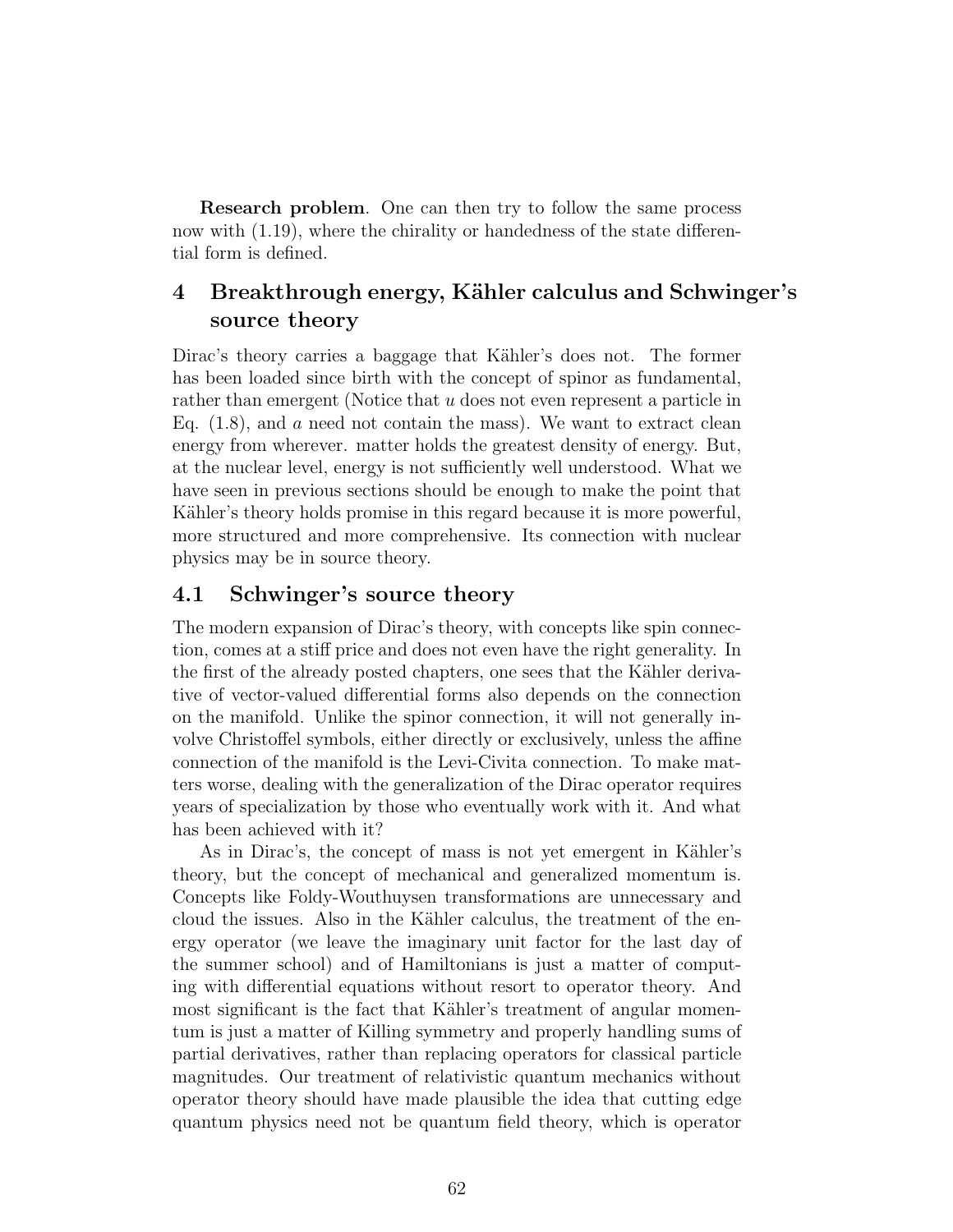Research problem. One can then try to follow the same process now with (1.19), where the chirality or handedness of the state differential form is defined.

## 4 Breakthrough energy, Kähler calculus and Schwinger's source theory

Dirac's theory carries a baggage that Kähler's does not. The former has been loaded since birth with the concept of spinor as fundamental, rather than emergent (Notice that u does not even represent a particle in Eq.  $(1.8)$ , and a need not contain the mass). We want to extract clean energy from wherever. matter holds the greatest density of energy. But, at the nuclear level, energy is not sufficiently well understood. What we have seen in previous sections should be enough to make the point that Kähler's theory holds promise in this regard because it is more powerful, more structured and more comprehensive. Its connection with nuclear physics may be in source theory.

### 4.1 Schwinger's source theory

The modern expansion of Dirac's theory, with concepts like spin connection, comes at a stiff price and does not even have the right generality. In the first of the already posted chapters, one sees that the Kähler derivative of vector-valued differential forms also depends on the connection on the manifold. Unlike the spinor connection, it will not generally involve Christoffel symbols, either directly or exclusively, unless the affine connection of the manifold is the Levi-Civita connection. To make matters worse, dealing with the generalization of the Dirac operator requires years of specialization by those who eventually work with it. And what has been achieved with it?

As in Dirac's, the concept of mass is not yet emergent in Kähler's theory, but the concept of mechanical and generalized momentum is. Concepts like Foldy-Wouthuysen transformations are unnecessary and cloud the issues. Also in the Kähler calculus, the treatment of the energy operator (we leave the imaginary unit factor for the last day of the summer school) and of Hamiltonians is just a matter of computing with differential equations without resort to operator theory. And most significant is the fact that Kähler's treatment of angular momentum is just a matter of Killing symmetry and properly handling sums of partial derivatives, rather than replacing operators for classical particle magnitudes. Our treatment of relativistic quantum mechanics without operator theory should have made plausible the idea that cutting edge quantum physics need not be quantum field theory, which is operator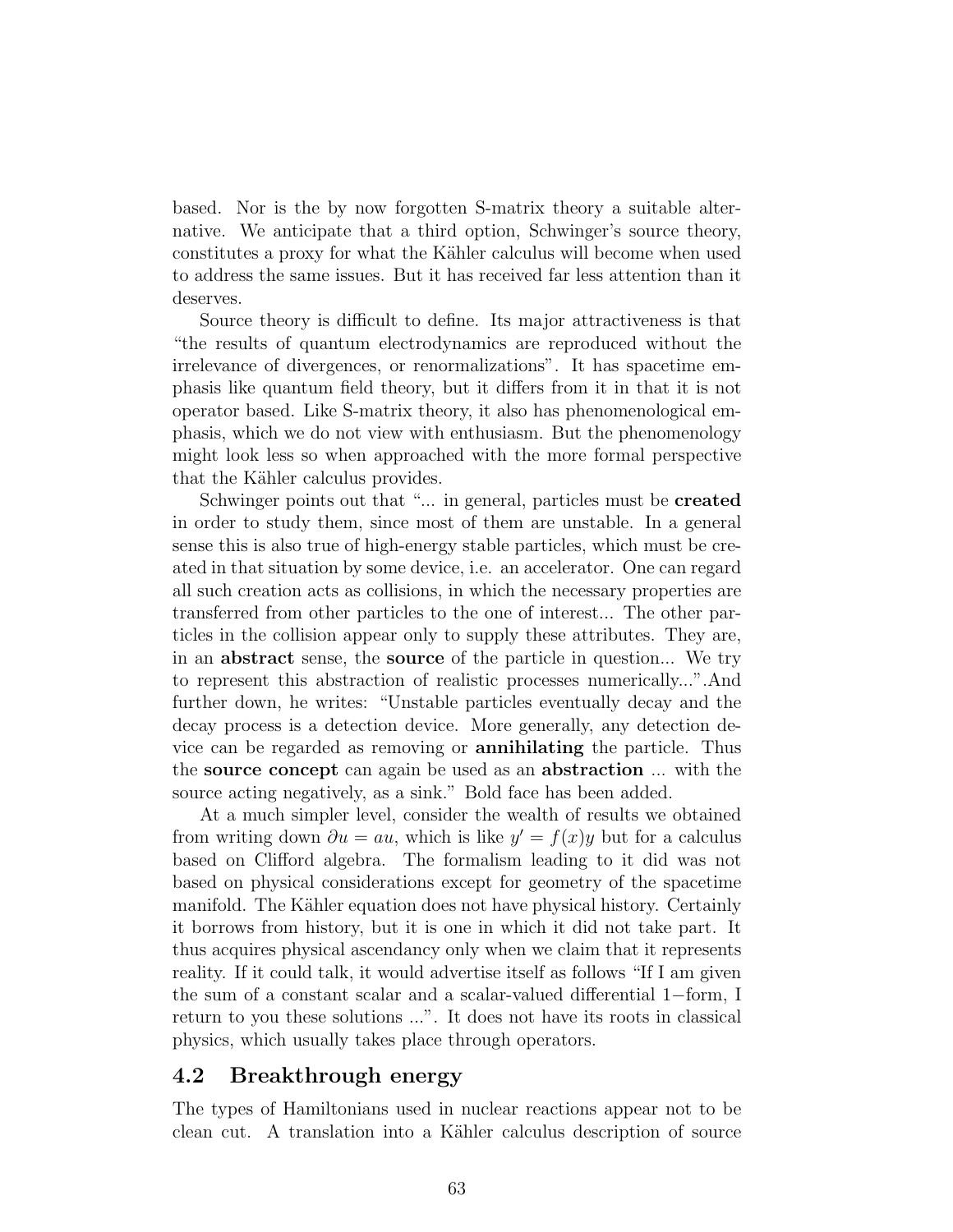based. Nor is the by now forgotten S-matrix theory a suitable alternative. We anticipate that a third option, Schwinger's source theory, constitutes a proxy for what the Kähler calculus will become when used to address the same issues. But it has received far less attention than it deserves.

Source theory is difficult to define. Its major attractiveness is that "the results of quantum electrodynamics are reproduced without the irrelevance of divergences, or renormalizations". It has spacetime emphasis like quantum field theory, but it differs from it in that it is not operator based. Like S-matrix theory, it also has phenomenological emphasis, which we do not view with enthusiasm. But the phenomenology might look less so when approached with the more formal perspective that the Kähler calculus provides.

Schwinger points out that "... in general, particles must be created in order to study them, since most of them are unstable. In a general sense this is also true of high-energy stable particles, which must be created in that situation by some device, i.e. an accelerator. One can regard all such creation acts as collisions, in which the necessary properties are transferred from other particles to the one of interest... The other particles in the collision appear only to supply these attributes. They are, in an abstract sense, the source of the particle in question... We try to represent this abstraction of realistic processes numerically...".And further down, he writes: "Unstable particles eventually decay and the decay process is a detection device. More generally, any detection device can be regarded as removing or annihilating the particle. Thus the source concept can again be used as an abstraction ... with the source acting negatively, as a sink." Bold face has been added.

At a much simpler level, consider the wealth of results we obtained from writing down  $\partial u = au$ , which is like  $y' = f(x)y$  but for a calculus based on Clifford algebra. The formalism leading to it did was not based on physical considerations except for geometry of the spacetime manifold. The Kähler equation does not have physical history. Certainly it borrows from history, but it is one in which it did not take part. It thus acquires physical ascendancy only when we claim that it represents reality. If it could talk, it would advertise itself as follows "If I am given the sum of a constant scalar and a scalar-valued differential 1−form, I return to you these solutions ...". It does not have its roots in classical physics, which usually takes place through operators.

#### 4.2 Breakthrough energy

The types of Hamiltonians used in nuclear reactions appear not to be clean cut. A translation into a Kähler calculus description of source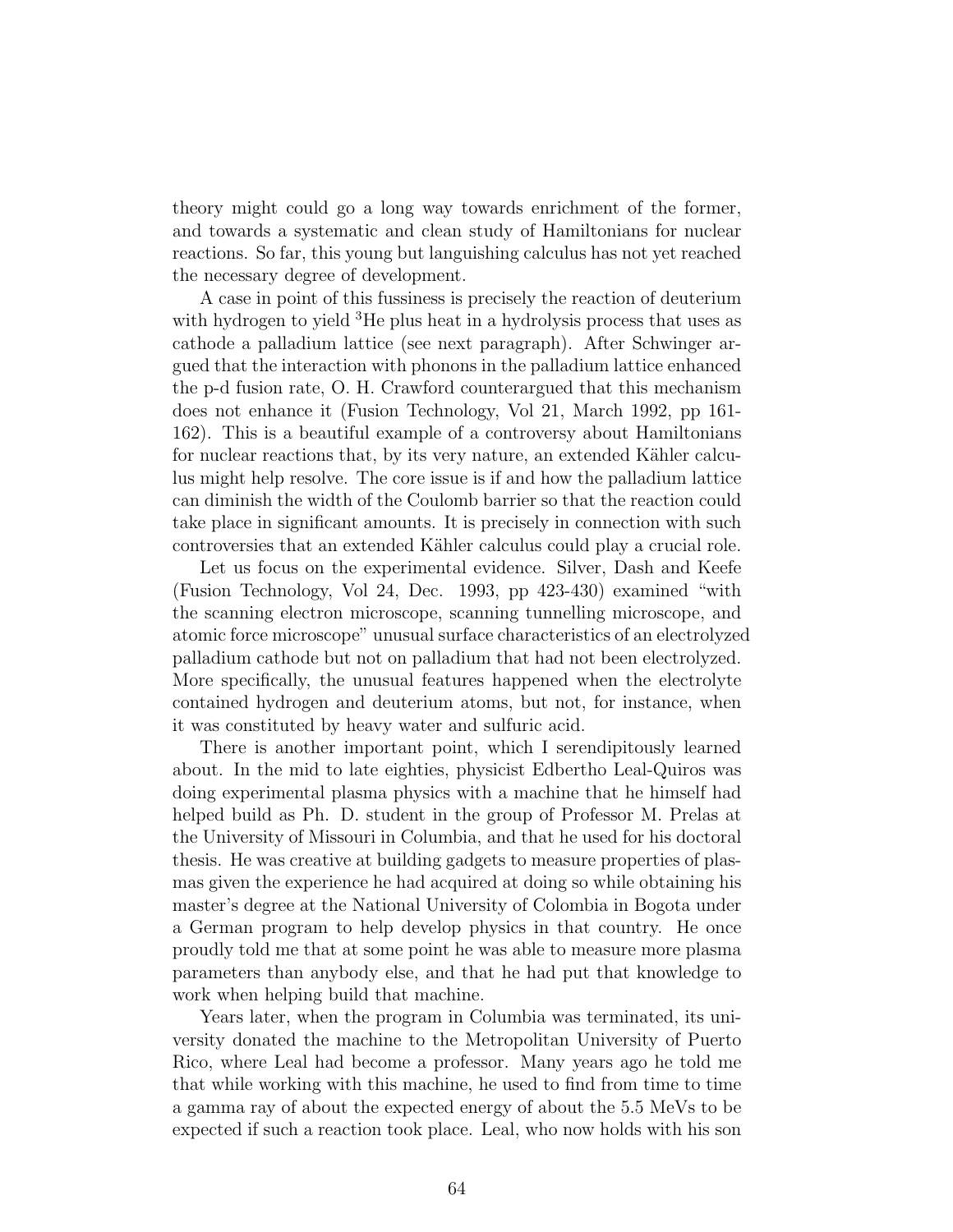theory might could go a long way towards enrichment of the former, and towards a systematic and clean study of Hamiltonians for nuclear reactions. So far, this young but languishing calculus has not yet reached the necessary degree of development.

A case in point of this fussiness is precisely the reaction of deuterium with hydrogen to yield <sup>3</sup>He plus heat in a hydrolysis process that uses as cathode a palladium lattice (see next paragraph). After Schwinger argued that the interaction with phonons in the palladium lattice enhanced the p-d fusion rate, O. H. Crawford counterargued that this mechanism does not enhance it (Fusion Technology, Vol 21, March 1992, pp 161- 162). This is a beautiful example of a controversy about Hamiltonians for nuclear reactions that, by its very nature, an extended Kähler calculus might help resolve. The core issue is if and how the palladium lattice can diminish the width of the Coulomb barrier so that the reaction could take place in significant amounts. It is precisely in connection with such controversies that an extended Kähler calculus could play a crucial role.

Let us focus on the experimental evidence. Silver, Dash and Keefe (Fusion Technology, Vol 24, Dec. 1993, pp 423-430) examined "with the scanning electron microscope, scanning tunnelling microscope, and atomic force microscope" unusual surface characteristics of an electrolyzed palladium cathode but not on palladium that had not been electrolyzed. More specifically, the unusual features happened when the electrolyte contained hydrogen and deuterium atoms, but not, for instance, when it was constituted by heavy water and sulfuric acid.

There is another important point, which I serendipitously learned about. In the mid to late eighties, physicist Edbertho Leal-Quiros was doing experimental plasma physics with a machine that he himself had helped build as Ph. D. student in the group of Professor M. Prelas at the University of Missouri in Columbia, and that he used for his doctoral thesis. He was creative at building gadgets to measure properties of plasmas given the experience he had acquired at doing so while obtaining his master's degree at the National University of Colombia in Bogota under a German program to help develop physics in that country. He once proudly told me that at some point he was able to measure more plasma parameters than anybody else, and that he had put that knowledge to work when helping build that machine.

Years later, when the program in Columbia was terminated, its university donated the machine to the Metropolitan University of Puerto Rico, where Leal had become a professor. Many years ago he told me that while working with this machine, he used to find from time to time a gamma ray of about the expected energy of about the 5.5 MeVs to be expected if such a reaction took place. Leal, who now holds with his son